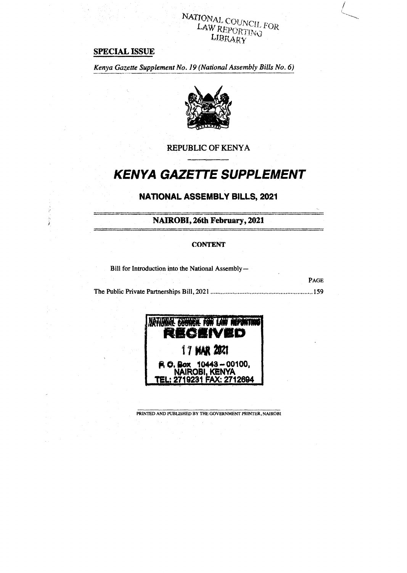# **NATIONAL COUNCIL FOR**<br>**LAW REPORTING** LIBRARY

## **SPECIAL ISSUE**

j. 网络属 *Kenya Gazette Supplement No. 19 (National Assembly Bills No. 6)* 



**REPUBLIC OF KENYA** 

## **KENYA GAZE7TE SUPPLEMENT**

## **NATIONAL ASSEMBLY BILLS, 2021**

**NAIROBI, 26th February, 2021** 

#### **CONTENT**

Bill for Introduction into the National Assembly—

**PAGE**  The Public Private Partnerships Bill, 2021 159



**PRINTED AND PUBLISHED BY THE GOVERNMENT PRINTER, NAIROBI**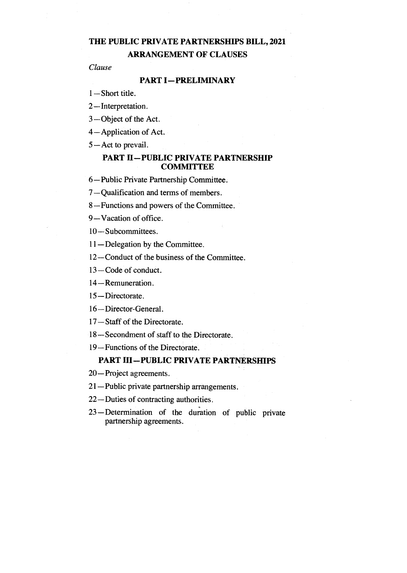## **THE PUBLIC PRIVATE PARTNERSHIPS BILL, 2021**

**ARRANGEMENT OF CLAUSES** 

*Clause* 

## **PART I—PRELIMINARY**

1—Short title.

2—Interpretation.

3—Object of the Act.

4—Application of Act.

5—Act to prevail.

## **PART II—PUBLIC PRIVATE PARTNERSHIP COMMITTEE**

6—Public Private Partnership Committee.

7—Qualification and terms of members.

8—Functions and powers of the Committee.

9—Vacation of office.

10—Subcommittees.

11—Delegation by the Committee.

12—Conduct of the business of the Committee.

13—Code of conduct.

14—Remuneration.

15 — Directorate .

16—Director-General.

17—Staff of the Directorate.

18—Secondment of staff to the Directorate.

19—Functions of the Directorate.

## **PART III—PUBLIC PRIVATE PARTNERSHIPS**

20—Project agreements.

21—Public private partnership arrangements.

22—Duties of contracting authorities.

23 — Determination of the duration of public private partnership agreements.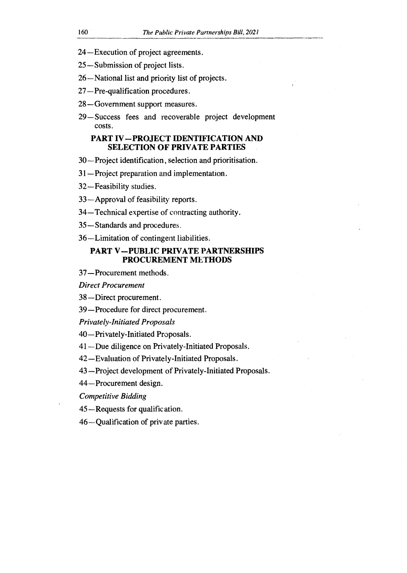- 24—Execution of project agreements.
- 25—Submission of project lists.
- 26—National list and priority list of projects.
- 27—Pre-qualification procedures.
- 28—Government support measures.
- 29—Success fees and recoverable project development costs.

#### **PART IV—PROJECT IDENTIFICATION AND SELECTION OF PRIVATE PARTIES**

- 30—Project identification, selection and prioritisation.
- 31—Project preparation and implementation.
- 32—Feasibility studies.
- 33—Approval of feasibility reports.
- 34—Technical expertise of contracting authority.
- 35—Standards and procedures.
- 36—Limitation of contingent liabilities.

#### **PART V—PUBLIC PRIVATE PARTNERSHIPS PROCUREMENT METHODS**

37—Procurement methods.

*Direct Procurement* 

- 38—Direct procurement.
- 39—Procedure for direct procurement.

*Privately-Initiated Proposals* 

40—Privately-Initiated Proposals.

41—Due diligence on Privately-Initiated Proposals.

42—Evaluation of Privately-Initiated Proposals.

43—Project development of Privately-Initiated Proposals.

44—Procurement design.

*Competitive Bidding* 

45—Requests for qualification.

46—Qualification of priv ate parties.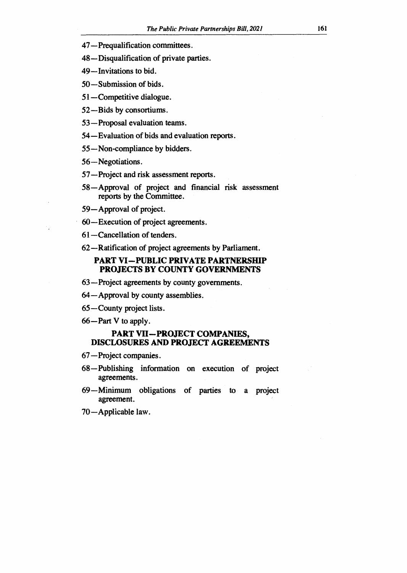- **47—Prequalification committees.**
- **48—Disqualification of private parties.**
- **49—Invitations to bid.**
- **50—Submission of bids.**
- **51—Competitive dialogue.**
- **52—Bids by consortiums.**
- **53—Proposal evaluation teams.**
- **54—Evaluation of bids and evaluation reports.**
- **55—Non-compliance by bidders.**
- **56—Negotiations.**
- **57—Project and risk assessment reports.**
- **58—Approval of project and financial risk assessment reports by the Committee.**
- **59—Approval of project.**
- **60—Execution of project agreements.**
- **61—Cancellation of tenders.**
- **62—Ratification of project agreements by Parliament.**

## **PART VI—PUBLIC PRIVATE PARTNERSHIP PROJECTS BY COUNTY GOVERNMENTS**

- **63—Project agreements by county governments.**
- **64—Approval by county assemblies.**
- **65—County project lists.**
- **66—Part V to apply.**

#### **PART VII—PROJECT COMPANIES, DISCLOSURES AND PROJECT AGREEMENTS**

- **67—Project companies.**
- **68 Publishing information on execution of project agreements.**
- **69—Minimum obligations of parties to a project agreement.**
- **70—Applicable law.**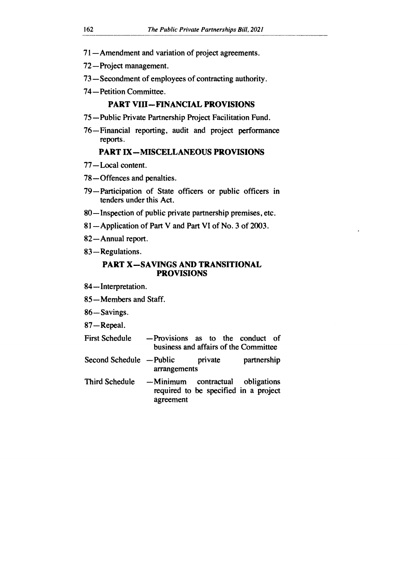- 71—Amendment and variation of project agreements.
- 72—Project management.
- 73—Secondment of employees of contracting authority.
- 74—Petition Committee.

#### **PART VIII—FINANCIAL PROVISIONS**

- 75—Public Private Partnership Project Facilitation Fund.
- 76—Financial reporting, audit and project performance reports.

## **PART IX—MISCELLANEOUS PROVISIONS**

- 77—Local content.
- 78—Offences and penalties.
- 79—Participation of State officers or public officers in tenders under this Act.
- 80—Inspection of public private partnership premises, etc.
- 81—Application of Part V and Part VI of No. 3 of 2003.
- 82—Annual report.
- 83—Regulations.

#### **PART X—SAVINGS AND TRANSITIONAL PROVISIONS**

- 84—Interpretation.
- 85—Members and Staff.

86—Savings.

87—Repeal.

- First Schedule —Provisions as to the conduct of business and affairs of the Committee
- Second Schedule Public private partnership arrangements
- Third Schedule —Minimum contractual obligations required to be specified in a project agreement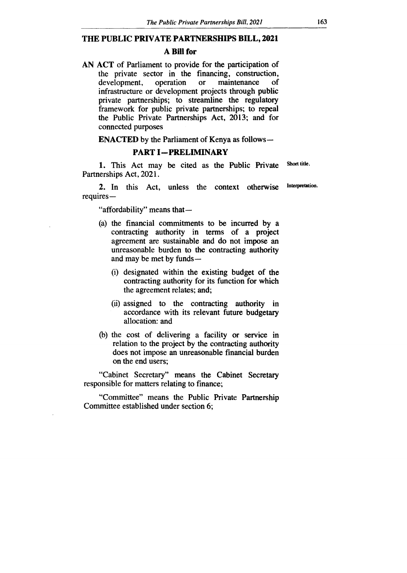#### **THE PUBLIC PRIVATE PARTNERSHIPS BILL, 2021**

#### **A Bill for**

**AN ACT** of Parliament to provide for the participation of the private sector in the financing, construction, development, operation or maintenance of development, operation or maintenance of infrastructure or development projects through public private partnerships; to streamline the regulatory framework for public private partnerships; to repeal the Public Private Partnerships Act, 2013; and for connected purposes

**ENACTED** by the Parliament of Kenya as follows**—** 

#### **PART I—PRELIMINARY**

1. This Act may be cited as the Public Private Partnerships Act, 2021. Short title.

2. In this Act, unless the context otherwise requires — Interpretation.

"affordability" means that —

- (a) the financial commitments to be incurred by a contracting authority in terms of a project agreement are sustainable and do not impose an unreasonable burden to the contracting authority and may be met by funds —
	- (i) designated within the existing budget of the contracting authority for its function for which the agreement relates; and;
	- (ii) assigned to the contracting authority in accordance with its relevant future budgetary allocation: and
- (b) the cost of delivering a facility or service in relation to the project by the contracting authority does not impose an unreasonable financial burden on the end users;

"Cabinet Secretary" means the Cabinet Secretary responsible for matters relating to finance;

"Committee" means the Public Private Partnership Committee established under section 6;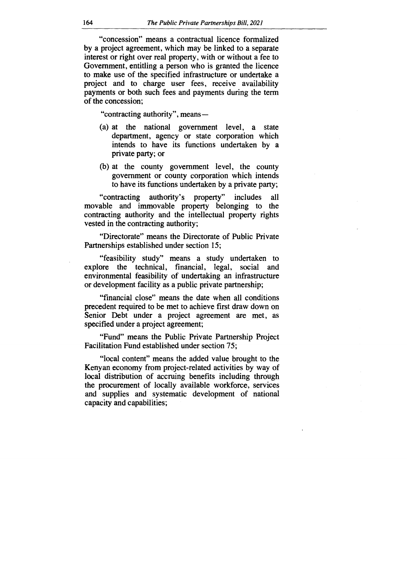"concession" means a contractual licence formalized by a project agreement, which may be linked to a separate interest or right over real property, with or without a fee to Government, entitling a person who is granted the licence to make use of the specified infrastructure or undertake a project and to charge user fees, receive availability payments or both such fees and payments during the term of the concession;

"contracting authority", means —

- (a) at the national government level, a state department, agency or state corporation which intends to have its functions undertaken by a private party; or
- (b) at the county government level, the county government or county corporation which intends to have its functions undertaken by a private party;

"contracting authority's property" includes all movable and immovable property belonging to the contracting authority and the intellectual property rights vested in the contracting authority;

"Directorate" means the Directorate of Public Private Partnerships established under section 15;

"feasibility study" means a study undertaken to explore the technical, financial, legal, social and environmental feasibility of undertaking an infrastructure or development facility as a public private partnership;

"financial close" means the date when all conditions precedent required to be met to achieve first draw down on Senior Debt under a project agreement are met, as specified under a project agreement;

"Fund" means the Public Private Partnership Project Facilitation Fund established under section 75;

"local content" means the added value brought to the Kenyan economy from project-related activities by way of local distribution of accruing benefits including through the procurement of locally available workforce, services and supplies and systematic development of national capacity and capabilities;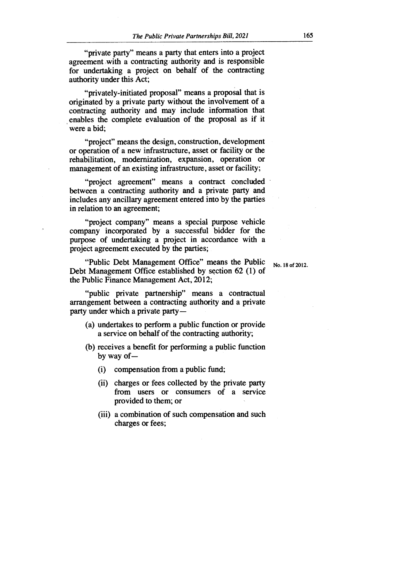"private party" means a party that enters into a project agreement with a contracting authority and is responsible for undertaking a project on behalf of the contracting authority under this Act;

"privately-initiated proposal" means a proposal that is originated by a private party without the involvement of a contracting authority and may include information that enables the complete evaluation of the proposal as if it were a bid;

"project" means the design, construction, development or operation of a new infrastructure, asset or facility or the rehabilitation, modernization, expansion, operation or management of an existing infrastructure, asset or facility;

"project agreement" means a contract concluded between a contracting authority and a private party and includes any ancillary agreement entered into by the parties in relation to an agreement;

"project company" means a special purpose vehicle company incorporated by a successful bidder for the purpose of undertaking a project in accordance with a project agreement executed by the parties;

"Public Debt Management Office" means the Public Debt Management Office established by section 62 (1) of the Public Finance Management Act, 2012;

"public private partnership" means a contractual arrangement between a contracting authority and a private party under which a private party —

- (a) undertakes to perform a public function or provide a service on behalf of the contracting authority;
- (b) receives a benefit for performing a public function by way of —
	- (i) compensation from a public fund;
	- (ii) charges or fees collected by the private party from users or consumers of a service provided to them; or
	- (iii) a combination of such compensation and such charges or fees;

No. 18 of 2012.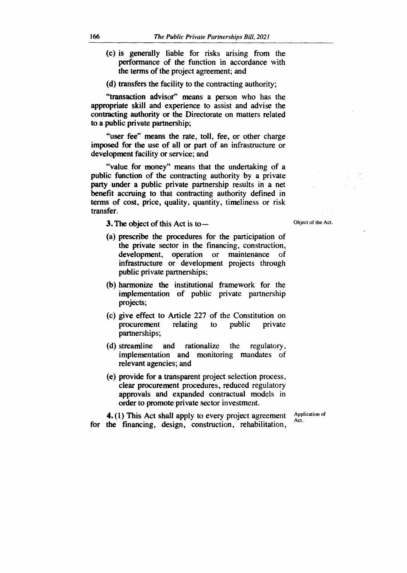- **(c) is generally liable for risks arising from the performance of the function in accordance with the terms of the project agreement; and**
- **(d) transfers the facility to the contracting authority;**

**"transaction advisor" means a person who has the appropriate skill and experience to assist and advise the contracting authority or the Directorate on matters related to a public private partnership;** 

**"user fee" means the rate, toll, fee, or other charge imposed for the use of all or part of an infrastructure or development facility or service; and** 

**"value for money" means that the undertaking of a public function of the contracting authority by a private party under a public private partnership results in a net benefit accruing to that contracting authority defined in terms of cost, price, quality, quantity, timeliness or risk transfer.** 

**3. The object of this Act is to —** 

- **(a) prescribe the procedures for the participation of the private sector in the financing, construction, development, operation or maintenance of infrastructure or development projects through public private partnerships;**
- **(b) harmonize the institutional framework for the implementation of public private partnership projects;**
- **(c) give effect to Article 227 of the Constitution on procurement relating to public private partnerships;**
- **(d) streamline and rationalize the regulatory, implementation and monitoring mandates of relevant agencies; and**
- **(e) provide for a transparent project selection process, clear procurement procedures, reduced regulatory approvals and expanded contractual models in order to promote private sector investment.**

**4. (1) This Act shall apply to every project agreement for the financing, design, construction, rehabilitation,** 

**Application of Act.** 

**Object of the Act.**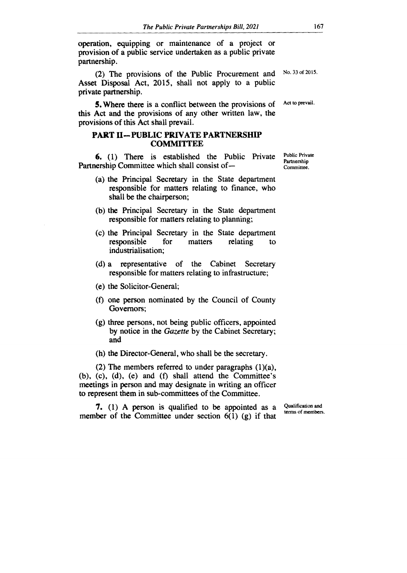operation, equipping or maintenance of a project or provision of a public service undertaken as a public private partnership.

(2) The provisions of the Public Procurement and Asset Disposal Act, 2015, shall not apply to a public private partnership.

**5.** Where there is a conflict between the provisions of this Act and the provisions of any other written law, the provisions of this Act shall prevail.

## **PART II—PUBLIC PRIVATE PARTNERSHIP COMMITTEE**

**6.** (1) There is established the Public Private Partnership Committee which shall consist of —

- (a) the Principal Secretary in the State department responsible for matters relating to finance, who shall be the chairperson;
- (b) the Principal Secretary in the State department responsible for matters relating to planning;
- (c) the Principal Secretary in the State department responsible for matters relating to industrialisation;
- (d) a representative of the Cabinet Secretary responsible for matters relating to infrastructure;
- (e) the Solicitor-General;
- (f) one person nominated by the Council of County Governors;
- (g) three persons, not being public officers, appointed by notice in the *Gazette* by the Cabinet Secretary; and
- (h) the Director-General, who shall be the secretary.

(2) The members referred to under paragraphs (1)(a), (b), (c), (d), (e) and (f) shall attend the Committee's meetings in person and may designate in writing an officer to represent them in sub-committees of the Committee.

**7.** (1) A person is qualified to be appointed as a member of the Committee under section  $6(1)$  (g) if that

Qualification and terms of members.

Public Private Partnership Committee.

No. 33 of 2015.

Act to prevail.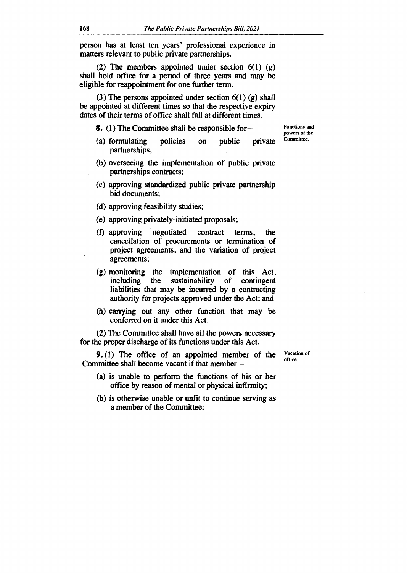**person has at least ten years' professional experience in matters relevant to public private partnerships.** 

**(2) The members appointed under section 6(1) (g) shall hold office for a period of three years and may be eligible for reappointment for one further term.** 

**(3) The persons appointed under section 6(1) (g) shall be appointed at different times so that the respective expiry dates of their terms of office shall fall at different times.** 

**8. (1) The Committee shall be responsible for—** 

- **(a) formulating policies on public private partnerships;**
- **(b) overseeing the implementation of public private partnerships contracts;**
- **(c) approving standardized public private partnership bid documents;**
- **(d) approving feasibility studies;**
- **(e) approving privately-initiated proposals;**
- **(f) approving negotiated contract terms, the cancellation of procurements or termination of project agreements, and the variation of project agreements;**
- **(g) monitoring the implementation of this Act, including the sustainability of contingent liabilities that may be incurred by a contracting authority for projects approved under the Act; and**
- **(h) carrying out any other function that may be conferred on it under this Act.**

**(2) The Committee shall have all the powers necessary for the proper discharge of its functions under this Act.** 

**9. (1) The office of an appointed member of the Committee shall become vacant if that member —** 

Vacation of office.

- **(a) is unable to perform the functions of his or her office by reason of mental or physical infirmity;**
- **(b) is otherwise unable or unfit to continue serving as a member of the Committee;**

Functions and powers of the Committee.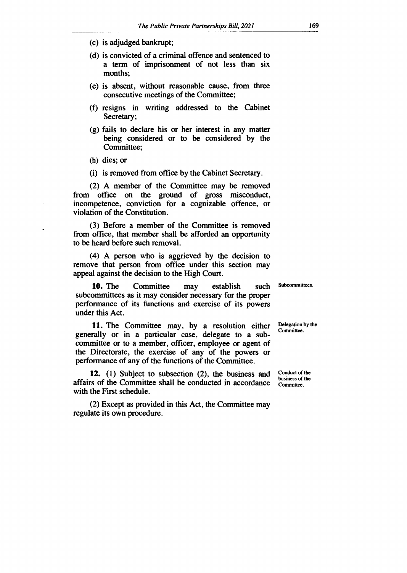- **(c) is adjudged bankrupt;**
- **(d) is convicted of a criminal offence and sentenced to a term of imprisonment of not less than six months;**
- **(e) is absent, without reasonable cause, from three consecutive meetings of the Committee;**
- **(f) resigns in writing addressed to the Cabinet Secretary;**
- **(g) fails to declare his or her interest in any matter being considered or to be considered by the Committee;**
- **(h) dies; or**
- **(i) is removed from office by the Cabinet Secretary.**

**(2) A member of the Committee may be removed from office on the ground of gross misconduct, incompetence, conviction for a cognizable offence, or violation of the Constitution.** 

**(3) Before a member of the Committee is removed from office, that member shall be afforded an opportunity to be heard before such removal.** 

**(4) A person who is aggrieved by the decision to remove that person from office under this section may appeal against the decision to the High Court.** 

**10. The Committee may establish such subcommittees as it may consider necessary for the proper performance of its functions and exercise of its powers under this Act.** 

**11. The Committee may, by a resolution either generally or in a particular case, delegate to a subcommittee or to a member, officer, employee or agent of the Directorate, the exercise of any of the powers or performance of any of the functions of the Committee.** 

**12. (1) Subject to subsection (2), the business and affairs of the Committee shall be conducted in accordance with the First schedule.** 

**(2) Except as provided in this Act, the Committee may regulate its own procedure.** 

**Subcommittees.** 

**Delegation by the Committee.** 

**Conduct of the business of the Committee.**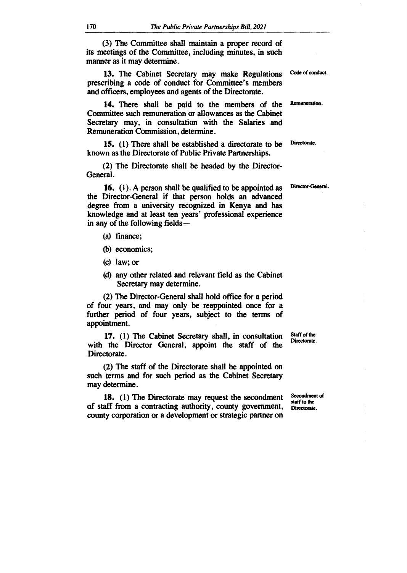**(3) The Committee shall maintain a proper record of its meetings of the Committee, including minutes, in such manner as it may determine.** 

**13. The Cabinet Secretary may make Regulations prescribing a code of conduct for Committee's members and officers, employees and agents of the Directorate.** 

**14. There shall be paid to the members of the Committee such remuneration or allowances as the Cabinet Secretary may, in consultation with the Salaries and Remuneration Commission, determine.** 

**15. (1) There shall be established a directorate to be known as the Directorate of Public Private Partnerships.** 

**(2) The Directorate shall be headed by the Director-General.** 

**16. (1). A person shall be qualified to be appointed as the Director-General if that person holds an advanced degree from a university recognized in Kenya and has knowledge and at least ten years' professional experience in any of the following fields —** 

- **(a) finance;**
- **(b) economics;**
- **(c) law; or**
- **(d) any other related and relevant field** as **the Cabinet Secretary may determine.**

**(2) The Director-General shall hold office for a period of four years, and may only be reappointed once for a further period of four years, subject to the terms of appointment.** 

**17. (1) The Cabinet Secretary shall, in consultation with the Director General, appoint the staff of the Directorate.** 

**(2) The staff of the Directorate shall be appointed on such terms and for such period as the Cabinet Secretary may determine.** 

**18. (1) The Directorate may request the secondment of staff from a contracting authority, county government, county corporation or a development or strategic partner on** 

**Staff of the Directorate.** 

**Secondment of staff to the Directorate.** 

**Code of conduct.** 

**Remuneration.** 

**Directorate.** 

**Director-General.**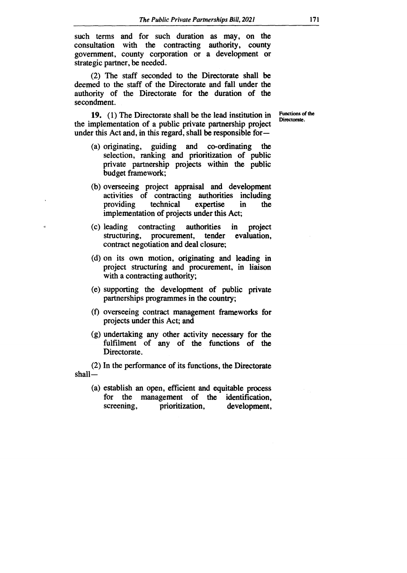**such terms and for such duration as may, on the consultation with the contracting authority, county government, county corporation or a development or strategic partner, be needed.** 

**(2) The staff seconded to the Directorate shall be deemed to the staff of the Directorate and fall under the authority of the Directorate for the duration of the secondment.** 

**19. (1) The Directorate shall be the lead institution in the implementation of a public private partnership project under this Act and, in this regard, shall be responsible for—** 

**(a) originating, guiding and co-ordinating the selection, ranking and prioritization of public private partnership projects within the public budget framework;** 

- **(b) overseeing project appraisal and development activities of contracting authorities including providing technical expertise in the implementation of projects under this Act;**
- **(c) leading contracting authorities in project structuring, procurement, tender evaluation, contract negotiation and deal closure;**
- **(d) on its own motion, originating and leading in project structuring and procurement, in liaison with a contracting authority;**
- **(e) supporting the development of public private partnerships programmes in the country;**
- **(f) overseeing contract management frameworks for projects under this Act; and**
- **(g) undertaking any other activity necessary for the fulfilment of any of the functions of the Directorate.**

**(2) In the performance of its functions, the Directorate shall—** 

**(a) establish an open, efficient and equitable process for the management of the identification,**  prioritization,

Functions of the Directorate.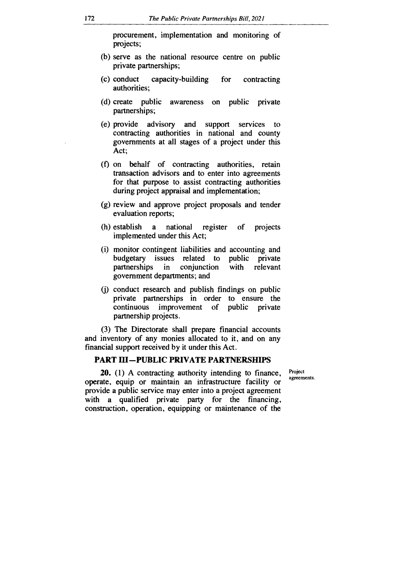procurement, implementation and monitoring of projects;

- (b) serve as the national resource centre on public private partnerships;
- (c) conduct capacity-building for contracting authorities;
- (d) create public awareness on public private partnerships;
- (e) provide advisory and support services to contracting authorities in national and county governments at all stages of a project under this Act;
- (f) on behalf of contracting authorities, retain transaction advisors and to enter into agreements for that purpose to assist contracting authorities during project appraisal and implementation;
- (g) review and approve project proposals and tender evaluation reports;
- (h) establish a national register of projects implemented under this Act;
- (i) monitor contingent liabilities and accounting and budgetary issues related to publi-<br>partnerships in conjunction with in conjunction with relevant government departments; and
- (j) conduct research and publish findings on public private partnerships in order to ensure the continuous improvement of public private partnership projects.

(3) The Directorate shall prepare financial accounts and inventory of any monies allocated to it, and on any financial support received by it under this Act.

#### **PART III—PUBLIC PRIVATE PARTNERSHIPS**

**20.** (1) A contracting authority intending to finance, operate, equip or maintain an infrastructure facility or provide a public service may enter into a project agreement with a qualified private party for the financing, construction, operation, equipping or maintenance of the

Project agreements.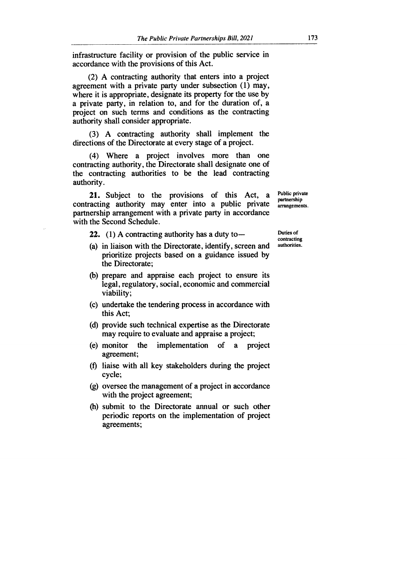infrastructure facility or provision of the public service in accordance with the provisions of this Act.

(2) A contracting authority that enters into a project agreement with a private party under subsection (1) may, where it is appropriate, designate its property for the use by a private party, in relation to, and for the duration of, a project on such terms and conditions as the contracting authority shall consider appropriate.

(3) A contracting authority shall implement the directions of the Directorate at every stage of a project.

(4) Where a project involves more than one contracting authority, the Directorate shall designate one of the contracting authorities to be the lead contracting authority.

21. Subject to the provisions of this Act, a contracting authority may enter into a public private partnership arrangement with a private party in accordance with the Second Schedule.

22. (1) A contracting authority has a duty to —

- (a) in liaison with the Directorate, identify, screen and prioritize projects based on a guidance issued by the Directorate;
- (b) prepare and appraise each project to ensure its legal, regulatory, social, economic and commercial viability;
- (c) undertake the tendering process in accordance with this Act;
- (d) provide such technical expertise as the Directorate may require to evaluate and appraise a project;
- (e) monitor the implementation of a project agreement;
- (f) liaise with all key stakeholders during the project cycle;
- (g) oversee the management of a project in accordance with the project agreement;
- (h) submit to the Directorate annual or such other periodic reports on the implementation of project agreements;

Public private partnership arrangements.

Duties of contracting authorities.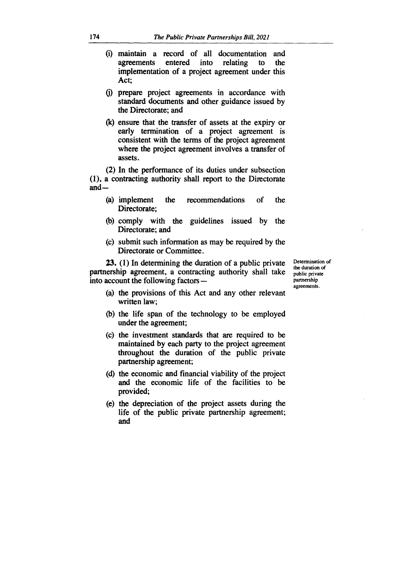- **(i) maintain a record of all documentation and agreements entered into relating to the implementation of a project agreement under this Act;**
- **(j) prepare project agreements in accordance with standard documents and other guidance issued by the Directorate; and**
- **(k) ensure that the transfer of assets at the expiry or early termination of a project agreement is consistent with the terms of the project agreement where the project agreement involves a transfer of assets.**

**(2) In the performance of its duties under subsection (1), a contracting authority shall report to the Directorate and —** 

- **(a) implement the recommendations of the Directorate;**
- **(b) comply with the guidelines issued by the Directorate; and**
- **(c) submit such information as may be required by the Directorate or Committee.**

**23. (1) In determining the duration of a public private partnership agreement, a contracting authority shall take into account the following factors —** 

**Determination of the duration of public private partnership agreements.** 

- **(a) the provisions of this Act and any other relevant written law;**
- **(b) the life span of the technology to be employed under the agreement;**
- **(c) the investment standards that are required to be maintained by each party to the project agreement throughout the duration of the public private partnership agreement;**
- **(d) the economic and financial viability of the project and the economic life of the facilities to be provided;**
- **(e) the depreciation of the project assets during the life of the public private partnership agreement; and**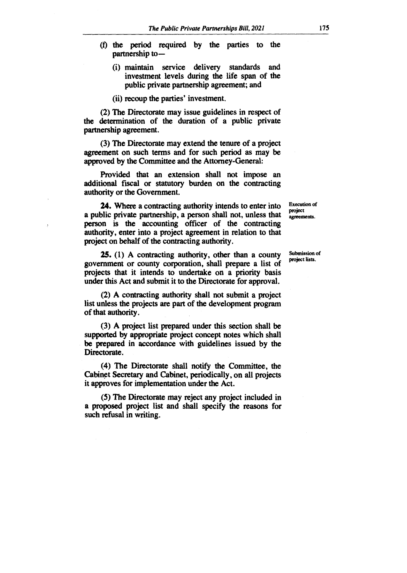- **(t) the period required by the parties to the partnership to—** 
	- **(i) maintain service delivery standards and investment levels during the life span of the public private partnership agreement; and**
	- **(ii) recoup the parties' investment.**

**(2) The Directorate may issue guidelines in respect of the determination of the duration of a public private partnership agreement.** 

**(3) The Directorate may extend the tenure of a project agreement on such terms and for such period as may be approved by the Committee and the Attorney-General:** 

**Provided that an extension shall not impose an additional fiscal or statutory burden on the contracting authority or the Government.** 

**24. Where a contracting authority intends to enter into a public private partnership, a person shall not, unless that person is the accounting officer of the contracting authority, enter into a project agreement in relation to that project on behalf of the contracting authority.** 

**25. (1) A contracting authority, other than a county government or county corporation, shall prepare a list of projects that it intends to undertake on a priority basis under this Act and submit it to the Directorate for approval.** 

**(2) A contracting authority shall not submit a project list unless the projects are part of the development program of that authority.** 

**(3) A project list prepared under this section shall be supported by appropriate project concept notes which shall be prepared in accordance with guidelines issued by the Directorate.** 

**(4) The Directorate shall notify the Committee, the Cabinet Secretary and Cabinet, periodically, on all projects it approves for implementation under the Act.** 

**(5) The Directorate may reject any project included in a proposed project list and shall specify the reasons for such refusal in writing.** 

**Execution of project**  agreements.

**Submission of project lists.**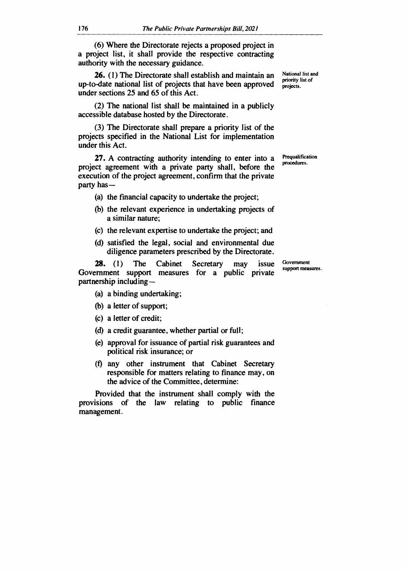**(6) Where the Directorate rejects a proposed project in a project list, it shall provide the respective contracting authority with the necessary guidance.** 

**26. (1) The Directorate shall establish and maintain an up-to-date national list of projects that have been approved under sections 25 and 65 of this Act.** 

**(2) The national list shall be maintained in a publicly accessible database hosted by the Directorate.** 

**(3) The Directorate shall prepare a priority list of the projects specified in the National List for implementation under this Act.** 

**27. A contracting authority intending to enter into a project agreement with a private party shall, before the execution of the project agreement, confirm that the private party has —** 

**(a) the financial capacity to undertake the project;** 

- **(b) the relevant experience in undertaking projects of a similar nature;**
- **(c) the relevant expertise to undertake the project; and**
- **(d) satisfied the legal, social and environmental due diligence parameters prescribed by the Directorate.**

**28. (1) The Cabinet Secretary may issue Government support measures for a public private partnership including —** 

Government support measures.

**(a) a binding undertaking;** 

- **(b) a letter of support;**
- **(c) a letter of credit;**
- **(d) a credit guarantee, whether partial or full;**
- **(e) approval for issuance of partial risk guarantees and political risk insurance; or**
- **(f) any other instrument that Cabinet Secretary responsible for matters relating to finance may, on the advice of the Committee, determine:**

**Provided that the instrument shall comply with the provisions of the law relating to public finance management.** 

National list and priority list of projects.

Prequalification procedures.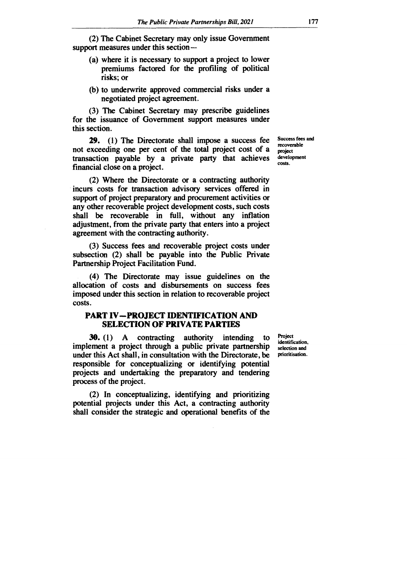**(2) The Cabinet Secretary may only issue Government support measures under this section —** 

- **(a) where it is necessary to support a project to lower premiums factored for the profiling of political risks; or**
- **(b) to underwrite approved commercial risks under a negotiated project agreement.**

**(3) The Cabinet Secretary may prescribe guidelines for the issuance of Government support measures under this section.** 

**29. (1) The Directorate shall impose a success fee not exceeding one per cent of the total project cost of a transaction payable by a private party that achieves financial close on a project.** 

**(2) Where the Directorate or a contracting authority incurs costs for transaction advisory services offered in support of project preparatory and procurement activities or any other recoverable project development costs, such costs shall be recoverable in full, without any inflation adjustment, from the private party that enters into a project agreement with the contracting authority.** 

**(3) Success fees and recoverable project costs under subsection (2) shall be payable into the Public Private Partnership Project Facilitation Fund.** 

**(4) The Directorate may issue guidelines on the allocation of costs and disbursements on success fees imposed under this section in relation to recoverable project costs.** 

## **PART IV—PROJECT IDENTIFICATION AND SELECTION OF PRIVATE PARTIES**

**30. (1) A contracting authority intending to implement a project through a public private partnership under this Act shall, in consultation with the Directorate, be responsible for conceptualizing or identifying potential projects and undertaking the preparatory and tendering process of the project.** 

**(2) In conceptualizing, identifying and prioritizing potential projects under this Act, a contracting authority shall consider the strategic and operational benefits of the** 

**Project identification, selection and prioritisation.** 

**Success fees and recoverable project development costs.**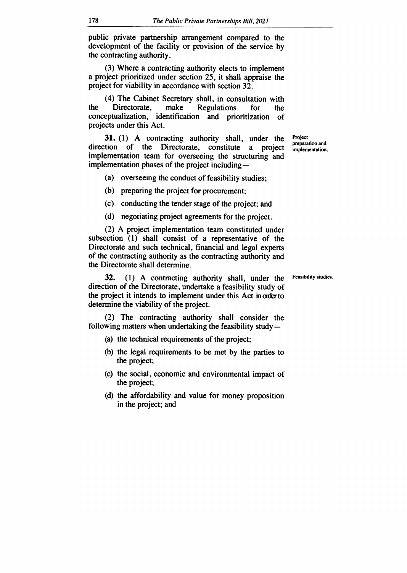**public private partnership arrangement compared to the development of the facility or provision of the service by the contracting authority.** 

**(3) Where a contracting authority elects to implement a project prioritized under section 25, it shall appraise the project for viability in accordance with section 32.** 

**(4) The Cabinet Secretary shall, in consultation with the Directorate, make Regulations for the conceptualization, identification and prioritization of projects under this Act.** 

**31. (1) A contracting authority shall, under the direction of the Directorate, constitute a project implementation team for overseeing the structuring and implementation phases of the project including —** 

**(a) overseeing the conduct of feasibility studies;** 

**(b) preparing the project for procurement;** 

**(c) conducting the tender stage of the project; and** 

**(d) negotiating project agreements for the project.** 

**(2) A project implementation team constituted under subsection (1) shall consist of a representative of the Directorate and such technical, financial and legal experts of the contracting authority as the contracting authority and the Directorate shall determine.** 

**32. (1) A contracting authority shall, under the direction of the Directorate, undertake a feasibility study of**  the project it intends to implement under this Act in order to **determine the viability of the project.** 

**(2) The contracting authority shall consider the following matters when undertaking the feasibility study —** 

- **(a) the technical requirements of the project;**
- **(b) the legal requirements to be met by the parties to the project;**
- **(c) the social, economic and environmental impact of the project;**
- **(d) the affordability and value for money proposition in the project; and**

**Project preparation and implementation.** 

**Feasibility studies.**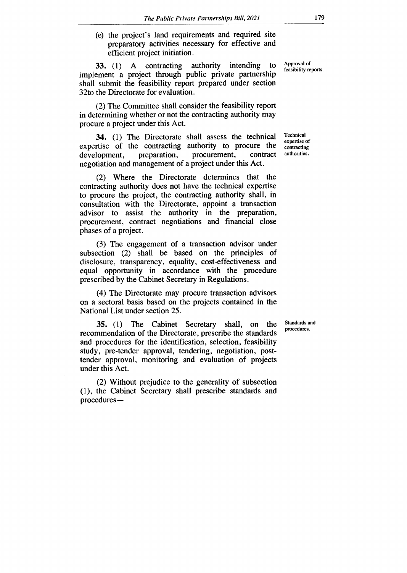(e) the project's land requirements and required site preparatory activities necessary for effective and efficient project initiation.

33. (1) A contracting authority intending to implement a project through public private partnership shall submit the feasibility report prepared under section 32to the Directorate for evaluation.

(2) The Committee shall consider the feasibility report in determining whether or not the contracting authority may procure a project under this Act.

34. (1) The Directorate shall assess the technical expertise of the contracting authority to procure the development, proparation, procurement, contract development, preparation, procurement, contract negotiation and management of a project under this Act.

(2) Where the Directorate determines that the contracting authority does not have the technical expertise to procure the project, the contracting authority shall, in consultation with the Directorate, appoint a transaction advisor to assist the authority in the preparation, procurement, contract negotiations and financial close phases of a project.

(3) The engagement of a transaction advisor under subsection (2) shall be based on the principles of disclosure, transparency, equality, cost-effectiveness and equal opportunity in accordance with the procedure prescribed by the Cabinet Secretary in Regulations.

(4) The Directorate may procure transaction advisors on a sectoral basis based on the projects contained in the National List under section 25.

35. (1) The Cabinet Secretary shall, on the recommendation of the Directorate, prescribe the standards and procedures for the identification, selection, feasibility study, pre-tender approval, tendering, negotiation, posttender approval, monitoring and evaluation of projects under this Act.

(2) Without prejudice to the generality of subsection (1), the Cabinet Secretary shall prescribe standards and procedures—

Approval of feasibility reports.

Technical expertise of contracting authorities.

Standards and procedures.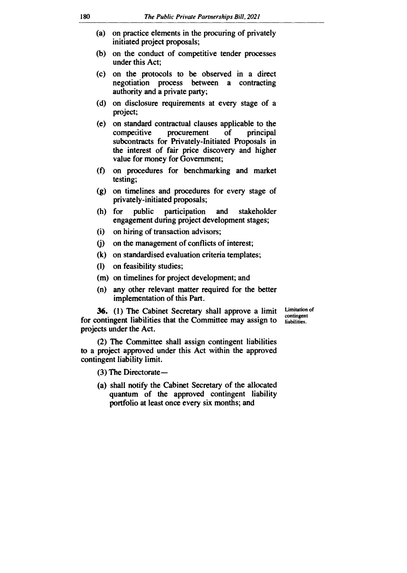- **(a) on practice elements in the procuring of privately initiated project proposals;**
- **(b) on the conduct of competitive tender processes under this Act;**
- **(c) on the protocols to be observed in a direct negotiation process between a contracting authority and a private party;**
- **(d) on disclosure requirements at every stage of a project;**
- **(e) on standard contractual clauses applicable to the**  competitive procurement of principal **subcontracts for Privately-Initiated Proposals in the interest of fair price discovery and higher value for money for Government;**
- **(f) on procedures for benchmarking and market testing;**
- **(g) on timelines and procedures for every stage of privately-initiated proposals;**
- **(h) for public participation and stakeholder engagement during project development stages;**
- **(i) on hiring of transaction advisors;**
- **(j) on the management of conflicts of interest;**
- **(k) on standardised evaluation criteria templates;**
- **(1) on feasibility studies;**
- **(m) on timelines for project development; and**
- **(n) any other relevant matter required for the better implementation of this Part.**

**36. (1) The Cabinet Secretary shall approve a limit for contingent liabilities that the Committee may assign to projects under the Act.** 

**Limitation of contingent liabilities.** 

**(2) The Committee shall assign contingent liabilities to a project approved under this Act within the approved contingent liability limit.** 

**(3) The Directorate —** 

**(a) shall notify the Cabinet Secretary of the allocated quantum of the approved contingent liability portfolio at least once every six months; and**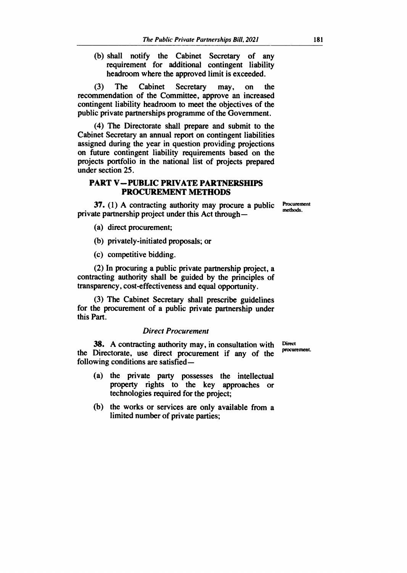**(b) shall notify the Cabinet Secretary of any requirement for additional contingent liability headroom where the approved limit is exceeded.** 

**(3) The Cabinet Secretary may, on the recommendation of the Committee, approve an increased contingent liability headroom to meet the objectives of the public private partnerships programme of the Government.** 

**(4) The Directorate shall prepare and submit to the Cabinet Secretary an annual report on contingent liabilities assigned during the year in question providing projections on future contingent liability requirements based on the projects portfolio in the national list of projects prepared under section 25.** 

## **PART V—PUBLIC PRIVATE PARTNERSHIPS PROCUREMENT METHODS**

**37. (1) A contracting authority may procure a public private partnership project under this Act through —** 

**Procurement methods.** 

- **(a) direct procurement;**
- **(b) privately-initiated proposals; or**
- **(c) competitive bidding.**

**(2) In procuring a public private partnership project, a contracting authority shall be guided by the principles of transparency, cost-effectiveness and equal opportunity.** 

**(3) The Cabinet Secretary shall prescribe guidelines for the procurement of a public private partnership under this** *Part.* 

#### *Direct Procurement*

**38. A contracting authority may, in consultation with the Directorate, use direct procurement if any of the following conditions are satisfied — Direct** 

- **(a) the private party possesses the intellectual property rights to the key approaches or technologies required for the project;**
- **(b) the works or services are only available from a limited number of private parties;**

**procurement.**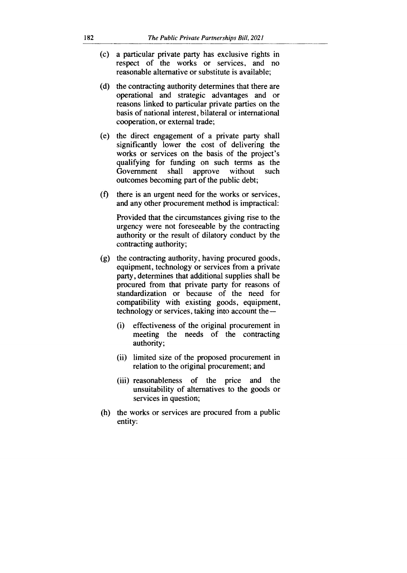- (c) a particular private party has exclusive rights in respect of the works or services, and no reasonable alternative or substitute is available;
- (d) the contracting authority determines that there are operational and strategic advantages and or reasons linked to particular private parties on the basis of national interest, bilateral or international cooperation, or external trade;
- (e) the direct engagement of a private party shall significantly lower the cost of delivering the works or services on the basis of the project's qualifying for funding on such terms as the Government shall approve without such outcomes becoming part of the public debt;
- $(f)$  there is an urgent need for the works or services, and any other procurement method is impractical:

Provided that the circumstances giving rise to the urgency were not foreseeable by the contracting authority or the result of dilatory conduct by the contracting authority;

- (g) the contracting authority, having procured goods, equipment, technology or services from a private party, determines that additional supplies shall be procured from that private party for reasons of standardization or because of the need for compatibility with existing goods, equipment, technology or services, taking into account the —
	- (i) effectiveness of the original procurement in meeting the needs of the contracting authority;
	- (ii) limited size of the proposed procurement in relation to the original procurement; and
	- (iii) reasonableness of the price and the unsuitability of alternatives to the goods or services in question;
- **(h)** the works or services are procured from a public entity: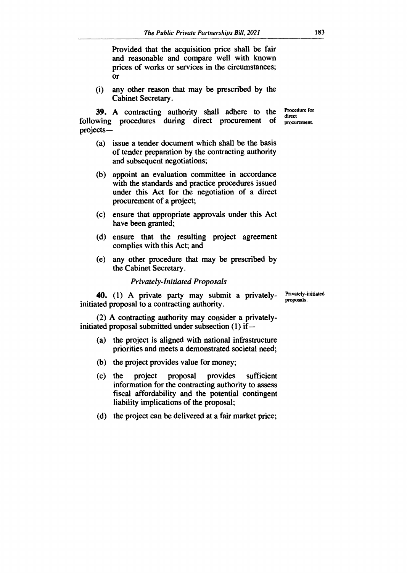**Provided that the acquisition price shall be fair and reasonable and compare well with known prices of works or services in the circumstances; or** 

**(i) any other reason that may be prescribed by the Cabinet Secretary.** 

**39. A contracting authority shall adhere to the following procedures during direct procurement of projects—** 

**Procedure for direct procurement.** 

- **(a) issue a tender document which shall be the basis of tender preparation by the contracting authority and subsequent negotiations;**
- **(b) appoint an evaluation committee in accordance with the standards and practice procedures issued under this Act for the negotiation of a direct procurement of a project;**
- **(c) ensure that appropriate approvals under this Act have been granted;**
- **(d) ensure that the resulting project agreement complies with this Act; and**
- **(e) any other procedure that may be prescribed by the Cabinet Secretary.**

#### *Privately-Initiated Proposals*

**40. (1) A private party may submit a privatelyinitiated proposal to a contracting authority.** 

**(2) A contracting authority may consider a privatelyinitiated proposal submitted under subsection (1) if—** 

- **(a) the project is aligned with national infrastructure priorities and meets a demonstrated societal need;**
- **(b) the project provides value for money;**
- **(c) the project proposal provides sufficient information for the contracting authority to assess fiscal affordability and the potential contingent liability implications of the proposal;**
- **(d) the project can be delivered at a fair market price;**

**Privately-initiated proposals.**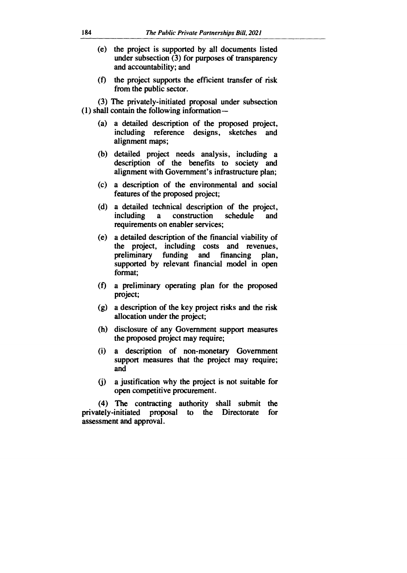- **(e) the project is supported by all documents listed under subsection (3) for purposes of transparency and accountability; and**
- **(0 the project supports the efficient transfer of risk from the public sector.**

**(3) The privately-initiated proposal under subsection (1) shall contain the following information —** 

- **(a) a detailed description of the proposed project, including reference designs, sketches and alignment maps;**
- **(b) detailed project needs analysis, including a description of the benefits to society and alignment with Government's infrastructure plan;**
- **(c) a description of the environmental and social features of the proposed project;**
- **(d) a detailed technical description of the project, including a construction schedule and requirements on enabler services;**
- **(e) a detailed description of the financial viability of the project, including costs and** *revenues,*  funding and financing plan, **supported by relevant financial model in open format;**
- **(f) a preliminary operating plan for the proposed project;**
- **(g) a description of the key project risks and the risk allocation under the project;**
- **(h) disclosure of any Government support measures the proposed project may require;**
- **(i) a description of non-monetary Government support measures that the project may require; and**
- **(j) a justification why the project is not suitable for open competitive procurement.**

**(4) The contracting authority shall submit the**  privately-initiated proposal to the Directorate **assessment and approval.**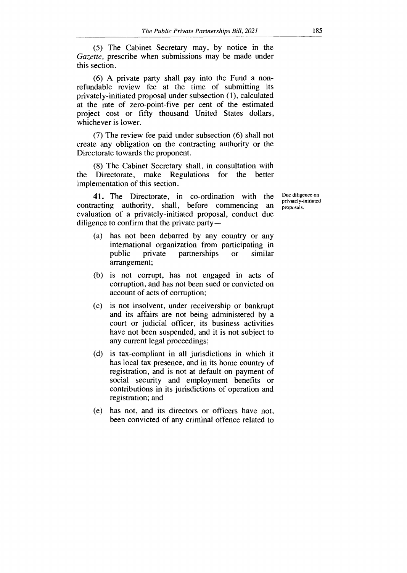(5) The Cabinet Secretary may, by notice in the Gazette, prescribe when submissions may be made under this section.

(6) A private party shall pay into the Fund a nonrefundable review fee at the time of submitting its privately-initiated proposal under subsection (1), calculated at the rate of zero-point-five per cent of the estimated project cost or fifty thousand United States dollars, whichever is lower.

(7) The review fee paid under subsection (6) shall not create any obligation on the contracting authority or the Directorate towards the proponent.

(8) The Cabinet Secretary shall, in consultation with the Directorate, make Regulations for the better implementation of this section.

**41.** The Directorate, in co-ordination with the contracting authority, shall, before commencing an evaluation of a privately-initiated proposal, conduct due diligence to confirm that the private party —

- (a) has not been debarred by any country or any international organization from participating in public private partnerships or similar arrangement;
- (b) is not corrupt, has not engaged in acts of corruption, and has not been sued or convicted on account of acts of corruption;
- (c) is not insolvent, under receivership or bankrupt and its affairs are not being administered by a court or judicial officer, its business activities have not been suspended, and it is not subject to any current legal proceedings;
- (d) is tax-compliant in all jurisdictions in which it has local tax presence, and in its home country of registration, and is not at default on payment of social security and employment benefits or contributions in its jurisdictions of operation and registration; and
- (e) has not, and its directors or officers have not, been convicted of any criminal offence related to

Due diligence on privately-initiated proposals.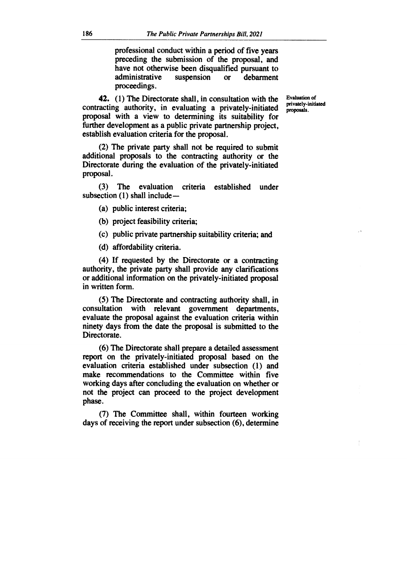**professional conduct within a period of five years preceding the submission of the proposal, and have not otherwise been disqualified pursuant to administrative suspension or debarment proceedings.** 

**42. (1) The Directorate shall, in consultation with the contracting authority, in evaluating a privately-initiated proposal with a view to determining its suitability for further development as a public private partnership project, establish evaluation criteria for the proposal.** 

**Evaluation of privately-initiated proposals.** 

**(2) The private party shall not be required to submit additional proposals to the contracting authority or the Directorate during the evaluation of the privately-initiated proposal.** 

**(3) The evaluation criteria established under subsection (1) shall include —** 

**(a) public interest criteria;** 

**(b) project feasibility criteria;** 

**(c) public private partnership suitability criteria; and** 

**(d) affordability criteria.** 

**(4) If requested by the Directorate or a contracting authority, the private party shall provide any clarifications or additional information on the privately-initiated proposal in written form.** 

**(5) The Directorate and contracting authority shall, in consultation with relevant government departments, evaluate the proposal against the evaluation criteria within ninety days from the date the proposal is submitted to the Directorate.** 

**(6) The Directorate shall prepare a detailed assessment report on the privately-initiated proposal based on the evaluation criteria established under subsection (1) and make recommendations to the Committee within five working days after concluding the evaluation on whether or not the project can proceed to the project development phase.** 

**(7) The Committee shall, within fourteen working days of receiving the report under subsection (6), determine**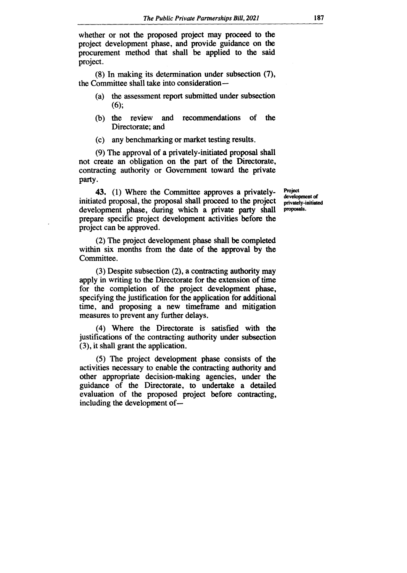**whether or not the proposed project may proceed to the project development phase, and provide guidance on the procurement method that shall be applied to the said project.** 

**(8) In making its determination under subsection (7), the Committee shall take into consideration—** 

- **(a) the assessment report submitted under subsection (6);**
- **(b) the review and recommendations of the Directorate; and**
- **(c) any benchmarking or market testing results.**

**(9) The approval of a privately-initiated proposal shall not create an obligation on the part of the Directorate, contracting authority or Government toward the private party.** 

**43. (1) Where the Committee approves a privatelyinitiated proposal, the proposal shall proceed to the project development phase, during which a private party shall prepare specific project development activities before the project can be approved.** 

**(2) The project development phase shall be completed within six months from the date of the approval by the Committee.** 

**(3) Despite subsection (2), a contracting authority may apply in writing to the Directorate for the extension of time for the completion of the project development phase, specifying the justification for the application for additional time, and proposing a new timeframe and mitigation measures to prevent any further delays.** 

**(4) Where the Directorate is satisfied with the justifications of the contracting authority under subsection (3), it shall grant the application.** 

**(5) The project development phase consists of the activities necessary to enable the contracting authority and other appropriate decision-making agencies, under the guidance of the Directorate, to undertake a detailed evaluation of the proposed project before contracting, including the development of—** 

**Project development of privately-initiated proposals.**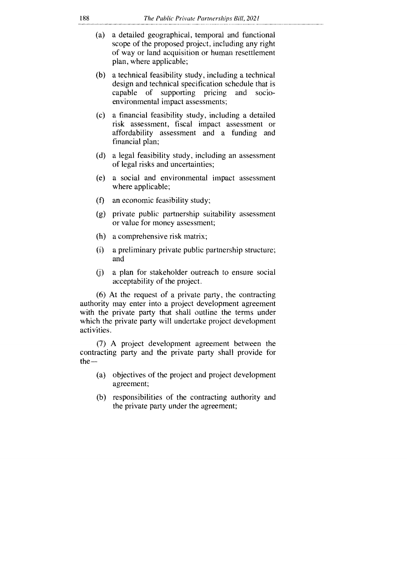- (a) a detailed geographical, temporal and functional scope of the proposed project, including any right of way or land acquisition or human resettlement plan, where applicable;
- (b) a technical feasibility study, including a technical design and technical specification schedule that is capable of supporting pricing and socioenvironmental impact assessments;
- (c) a financial feasibility study, including a detailed risk assessment, fiscal impact assessment or affordability assessment and a funding and financial plan;
- a legal feasibility study, including an assessment of legal risks and uncertainties;
- $(e)$ a social and environmental impact assessment where applicable;
- $(f)$ an economic feasibility study;
- private public partnership suitability assessment or value for money assessment;
- a comprehensive risk matrix;
- $(i)$ a preliminary private public partnership structure; and
- a plan for stakeholder outreach to ensure social (i) acceptability of the project.

(6) At the request of a private party, the contracting authority may enter into a project development agreement with the private party that shall outline the terms under which the private party will undertake project development activities.

(7) A project development agreement between the contracting party and the private party shall provide for  $the -$ 

- (a) objectives of the project and project development agreement;
- (b) responsibilities of the contracting authority and the private party under the agreement;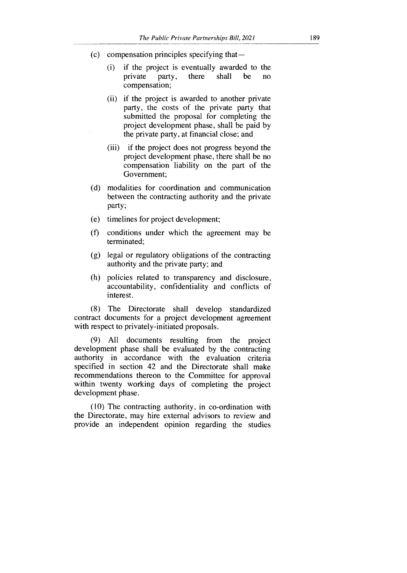- (c) compensation principles specifying that—
	- (i) if the project is eventually awarded to the private party, there shall be no compensation;
	- (ii) if the project is awarded to another private party, the costs of the private party that submitted the proposal for completing the project development phase, shall be paid by the private party, at financial close; and
	- (iii) if the project does not progress beyond the project development phase, there shall be no compensation liability on the part of the Government;
- (d) modalities for coordination and communication between the contracting authority and the private party;
- (e) timelines for project development;
- (f) conditions under which the agreement may be terminated;
- (g) legal or regulatory obligations of the contracting authority and the private party; and
- (h) policies related to transparency and disclosure, accountability, confidentiality and conflicts of interest.

(8) The Directorate shall develop standardized contract documents for a project development agreement with respect to privately-initiated proposals.

(9) All documents resulting from the project development phase shall be evaluated by the contracting authority in accordance with the evaluation criteria specified in section 42 and the Directorate shall make recommendations thereon to the Committee for approval within twenty working days of completing the project development phase.

(10) The contracting authority, in co-ordination with the Directorate, may hire external advisors to review and provide an independent opinion regarding the studies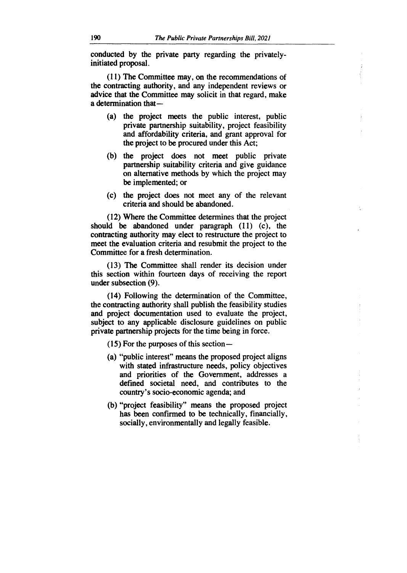**conducted by the private party regarding the privatelyinitiated proposal.** 

**(11) The Committee may, on the recommendations of the contracting authority, and any independent reviews or advice that the Committee may solicit in that regard, make a determination that —** 

- **(a) the project meets the public interest, public private partnership suitability, project feasibility and affordability criteria, and grant approval for the project to be procured under this Act;**
- **(b) the project does not meet public private partnership suitability criteria and give guidance on alternative methods by which the project may be implemented; or**
- **(c) the project does not meet any of the relevant criteria and should be abandoned.**

**(12) Where the Committee determines that the project should be abandoned under paragraph (11) (c), the contracting authority may elect to restructure the project to meet the evaluation criteria and resubmit the project to the Committee for a fresh determination.** 

**(13) The Committee shall render its decision under this section within fourteen days of receiving the report under subsection (9).** 

**(14) Following the determination of the Committee, the contracting authority shall publish the feasibility studies and project documentation used to evaluate the project, subject to any applicable disclosure guidelines on public private partnership projects for the time being in force.** 

**(15) For the purposes of this section—** 

- **(a) "public interest" means the proposed project aligns with stated infrastructure needs, policy objectives and priorities of the Government, addresses a defined societal need, and contributes to the country's socio-economic agenda; and**
- **(b) "project feasibility" means the proposed project has been confirmed to be technically, financially, socially, environmentally and legally feasible.**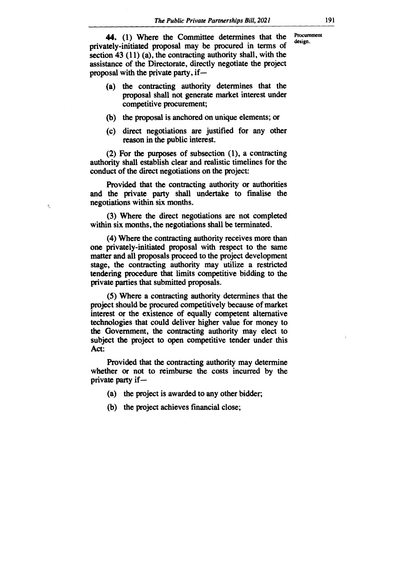**44.** (1) Where the Committee determines that the **Procure privately-initiated proposal may be procured in terms of section 43 (11) (a), the contracting authority shall, with the assistance of the Directorate, directly negotiate the project proposal with the private party, if —** 

- **(a) the contracting authority determines that the proposal shall not generate market interest under competitive procurement;**
- **(b) the proposal is anchored on unique elements; or**
- **(c) direct negotiations are justified for any other reason in the public interest.**

**(2) For the purposes of subsection (1), a contracting authority shall establish clear and realistic timelines for the conduct of the direct negotiations on the project:** 

**Provided that the contracting authority or authorities and the private party shall undertake to finalise the negotiations within six months.** 

想

**(3) Where the direct negotiations are not completed within six months, the negotiations shall be terminated.** 

**(4) Where the contracting authority receives more than one privately-initiated proposal with respect to the same matter and all proposals proceed to the project development stage, the contracting authority may utilize a restricted tendering procedure that limits competitive bidding to the private parties that submitted proposals.** 

**(5) Where a contracting authority determines that the project should be procured competitively because of market interest or the existence of equally competent alternative technologies that could deliver higher value for money to the Government, the contracting authority may elect to subject the project to open competitive tender under this Act:** 

**Provided that the contracting authority may determine whether or not to reimburse the costs incurred by the private party if —** 

- **(a) the project is awarded to any other bidder;**
- **(b) the project achieves financial close;**

**Procurement**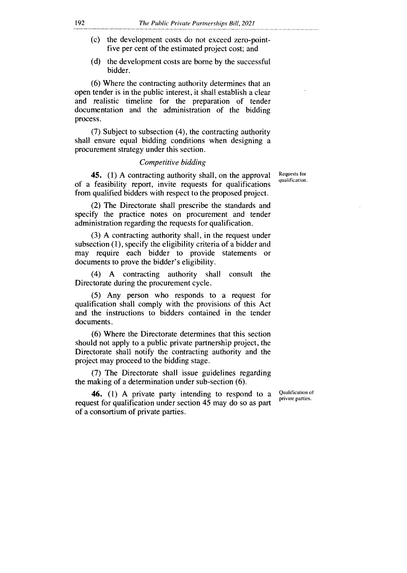- (c) the development costs do not exceed zero-pointfive per cent of the estimated project cost; and
- (d) the development costs are borne by the successful bidder.

(6) Where the contracting authority determines that an open tender is in the public interest, it shall establish a clear and realistic timeline for the preparation of tender documentation and the administration of the bidding process.

(7) Subject to subsection (4), the contracting authority shall ensure equal bidding conditions when designing a procurement strategy under this section.

#### *Competitive bidding*

45. (1) A contracting authority shall, on the approval of a feasibility report, invite requests for qualifications from qualified bidders with respect to the proposed project.

(2) The Directorate shall prescribe the standards and specify the practice notes on procurement and tender administration regarding the requests for qualification.

(3) A contracting authority shall, in the request under subsection (1), specify the eligibility criteria of a bidder and may require each bidder to provide statements or documents to prove the bidder's eligibility.

(4) A contracting authority shall consult the Directorate during the procurement cycle.

(5) Any person who responds to a request for qualification shall comply with the provisions of this Act and the instructions to bidders contained in the tender documents.

(6) Where the Directorate determines that this section should not apply to a public private partnership project, the Directorate shall notify the contracting authority and the project may proceed to the bidding stage.

(7) The Directorate shall issue guidelines regarding the making of a determination under sub-section (6).

46. (1) A private party intending to respond to a request for qualification under section 45 may do so as part of a consortium of private parties.

Qualification of private parties.

Requests for qualification.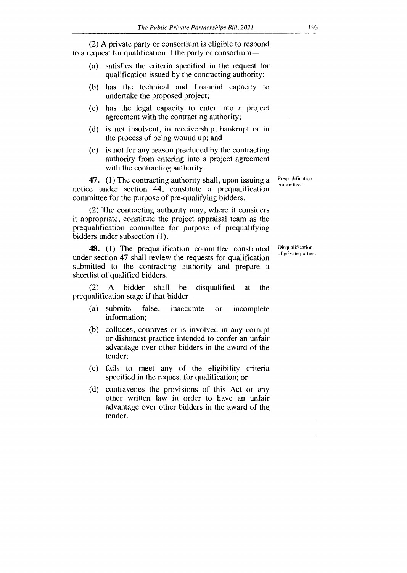(2) A private party or consortium is eligible to respond to a request for qualification if the party or consortium —

- (a) satisfies the criteria specified in the request for qualification issued by the contracting authority;
- (b) has the technical and financial capacity to undertake the proposed project;
- (c) has the legal capacity to enter into a project agreement with the contracting authority;
- (d) is not insolvent, in receivership, bankrupt or in the process of being wound up; and
- (e) is not for any reason precluded by the contracting authority from entering into a project agreement with the contracting authority.

47. (1) The contracting authority shall, upon issuing a notice under section 44, constitute a prequalification committee for the purpose of pre-qualifying bidders.

(2) The contracting authority may, where it considers it appropriate, constitute the project appraisal team as the prequalification committee for purpose of prequalifying bidders under subsection (1).

48. (1) The prequalification committee constituted under section 47 shall review the requests for qualification submitted to the contracting authority and prepare a shortlist of qualified bidders.

(2) A bidder shall be disqualified at the prequalification stage if that bidder--

- (a) submits false, inaccurate or incomplete information;
- (b) colludes, connives or is involved in any corrupt or dishonest practice intended to confer an unfair advantage over other bidders in the award of the tender;
- (c) fails to meet any of the eligibility criteria specified in the request for qualification; or
- (d) contravenes the provisions of this Act or any other written law in order to have an unfair advantage over other bidders in the award of the tender.

Prequalification committees.

Disqualification of private parties.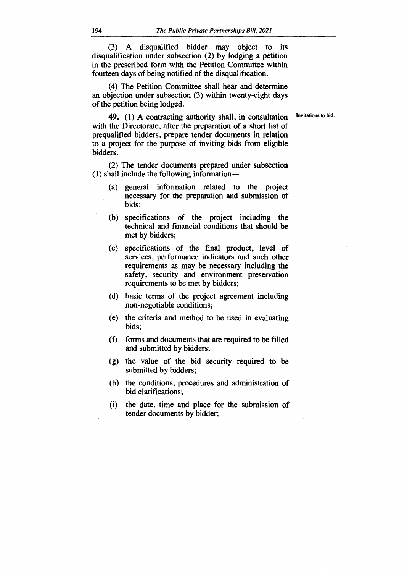(3) A disqualified bidder may object to its disqualification under subsection (2) by lodging a petition in the prescribed form with the Petition Committee within fourteen days of being notified of the disqualification.

(4) The Petition Committee shall hear and determine an objection under subsection (3) within twenty-eight days of the petition being lodged.

Invitations to bid.

**49.** (1) A contracting authority shall, in consultation with the Directorate, after the preparation of a short list of prequalified bidders, prepare tender documents in relation to a project for the purpose of inviting bids from eligible bidders.

(2) The tender documents prepared under subsection (1) shall include the following information —

- (a) general information related to the project necessary for the preparation and submission of bids;
- (b) specifications of the project including the technical and financial conditions that should be met by bidders;
- (c) specifications of the final product, level of services, performance indicators and such other requirements as may be necessary including the safety, security and environment preservation requirements to be met by bidders;
- (d) basic terms of the project agreement including non-negotiable conditions;
- (e) the criteria and method to be used in evaluating bids;
- (f) forms and documents that are required to be filled and submitted by bidders;
- (g) the value of the bid security required to be submitted by bidders;
- (h) the conditions, procedures and administration of bid clarifications;
- (i) the date, time and place for the submission of tender documents by bidder;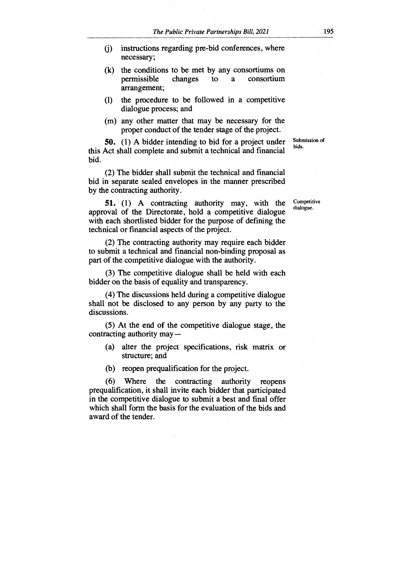- (j) instructions regarding pre-bid conferences, where necessary;
- (k) the conditions to be met by any consortiums on permissible changes to a consortium arrangement;
- (1) the procedure to be followed in a competitive dialogue process; and
- (m) any other matter that may be necessary for the proper conduct of the tender stage of the project.

**50.** (1) A bidder intending to bid for a project under this Act shall complete and submit a technical and financial bid.

(2) The bidder shall submit the technical and financial bid in separate sealed envelopes in the manner prescribed by the contracting authority.

**51.** (1) A contracting authority may, with the approval of the Directorate, hold a competitive dialogue with each shortlisted bidder for the purpose of defining the technical or financial aspects of the project.

(2) The contracting authority may require each bidder to submit a technical and financial non-binding proposal as part of the competitive dialogue with the authority.

(3) The competitive dialogue shall be held with each bidder on the basis of equality and transparency.

(4) The discussions held during a competitive dialogue shall not be disclosed to any person by any party to the discussions.

(5) At the end of the competitive dialogue stage, the contracting authority may —

- (a) alter the project specifications, risk matrix or structure; and
- (b) reopen prequalification for the project.

(6) Where the contracting authority reopens prequalification, it shall invite each bidder that participated in the competitive dialogue to submit a best and final offer which shall form the basis for the evaluation of the bids and award of the tender.

Submission of bids.

Competitive dialogue.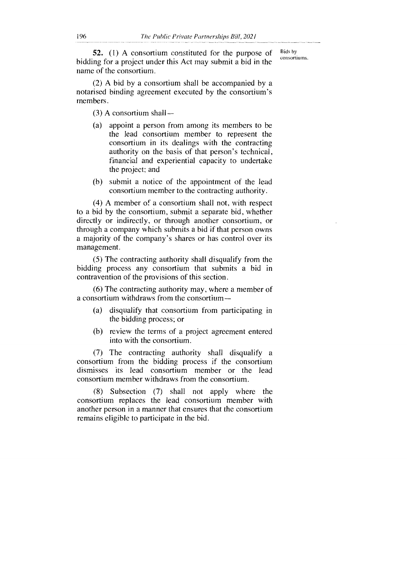52. (1) A consortium constituted for the purpose of bidding for a project under this Act may submit a bid in the name of the consortium.

Bids by consortiums.

(2) A bid by a consortium shall be accompanied by a notarised binding agreement executed by the consortium's members.

 $(3)$  A consortium shall  $-$ 

- (a) appoint a person from among its members to be the lead consortium member to represent the consortium in its dealings with the contracting authority on the basis of that person's technical, financial and experiential capacity to undertake the project; and
- (b) submit a notice of the appointment of the lead consortium member to the contracting authority.

(4) A member of a consortium shall not, with respect to a bid by the consortium, submit a separate bid, whether directly or indirectly, or through another consortium, or through a company which submits a bid if that person owns a majority of the company's shares or has control over its management.

(5) The contracting authority shall disqualify from the bidding process any consortium that submits a bid in contravention of the provisions of this section.

(6) The contracting authority may, where a member of a consortium withdraws from the consortium —

- (a) disqualify that consortium from participating in the bidding process; or
- (b) review the terms of a project agreement entered into with the consortium.

(7) The contracting authority shall disqualify a consortium from the bidding process if the consortium dismisses its lead consortium member or the lead consortium member withdraws from the consortium.

(8) Subsection (7) shall not apply where the consortium replaces the lead consortium member with another person in a manner that ensures that the consortium remains eligible to participate in the bid.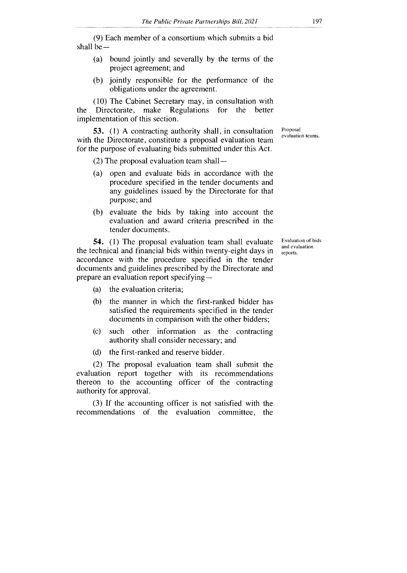(9) Each member of a consortium which submits a bid shall be —

- (a) bound jointly and severally by the terms of the project agreement; and
- (b) jointly responsible for the performance of the obligations under the agreement.

(10) The Cabinet Secretary may, in consultation with the Directorate, make **Regulations** for the better implementation of this section.

**53.** (1) A contracting authority shall, in consultation with the Directorate, constitute a proposal evaluation team for the purpose of evaluating bids submitted under this Act.

(2) The proposal evaluation team shall —

- (a) open and evaluate bids in accordance with the procedure specified in the tender documents and any guidelines issued by the Directorate for that purpose; and
- (b) evaluate the bids by taking into account the evaluation and award criteria prescribed in the tender documents.

**54.** (1) The proposal evaluation team shall evaluate the technical and financial bids within twenty-eight days in accordance with the procedure specified in the tender documents and guidelines prescribed by the Directorate and prepare an evaluation report specifying —

- (a) the evaluation criteria;
- (b) the manner in which the first-ranked bidder has satisfied the requirements specified in the tender documents in comparison with the other bidders;
- (c) such other information as the contracting authority shall consider necessary; and
- (d) the first-ranked and reserve bidder.

(2) The proposal evaluation team shall submit the evaluation report together with its recommendations thereon to the accounting officer of the contracting authority for approval.

(3) If the accounting officer is not satisfied with the recommendations of the evaluation committee, the Evaluation of bids and evaluation reports.

Proposal evaluation teams.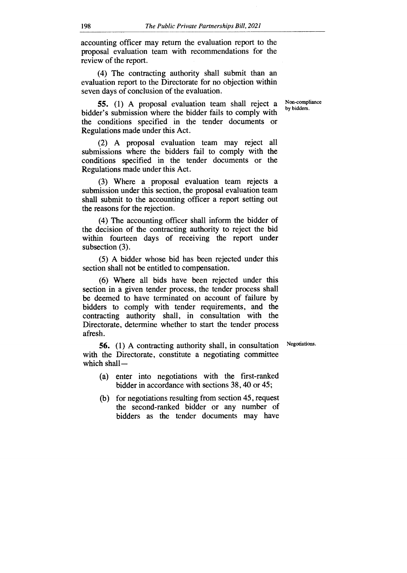accounting officer may return the evaluation report to the proposal evaluation team with recommendations for the review of the report.

(4) The contracting authority shall submit than an evaluation report to the Directorate for no objection within seven days of conclusion of the evaluation.

> Non-compliance by bidders.

**55.** (1) A proposal evaluation team shall reject a bidder's submission where the bidder fails to comply with the conditions specified in the tender documents or Regulations made under this Act.

(2) A proposal evaluation team may reject all submissions where the bidders fail to comply with the conditions specified in the tender documents or the Regulations made under this Act.

(3) Where a proposal evaluation team rejects a submission under this section, the proposal evaluation team shall submit to the accounting officer a report setting out the reasons for the rejection.

(4) The accounting officer shall inform the bidder of the decision of the contracting authority to reject the bid within fourteen days of receiving the report under subsection (3).

(5) A bidder whose bid has been rejected under this section shall not be entitled to compensation.

(6) Where all bids have been rejected under this section in a given tender process, the tender process shall be deemed to have terminated on account of failure by bidders to comply with tender requirements, and the contracting authority shall, in consultation with the Directorate, determine whether to start the tender process afresh.

Negotiations.

**56.** (1) A contracting authority shall, in consultation with the Directorate, constitute a negotiating committee which shall-

- (a) enter into negotiations with the first-ranked bidder in accordance with sections 38,40 or 45;
- (b) for negotiations resulting from section 45, request the second-ranked bidder or any number of bidders as the tender documents may have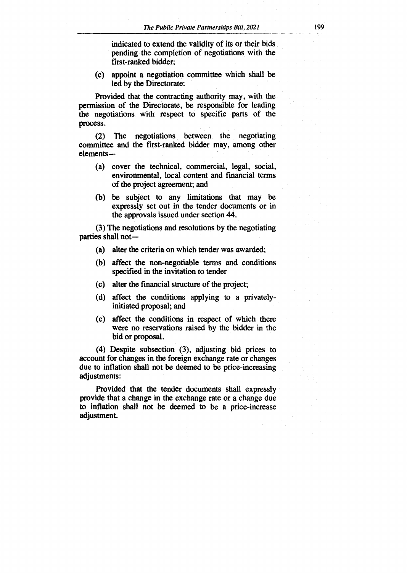**indicated to extend the validity of its or their bids pending the completion of negotiations with the first-ranked bidder;** 

**(c) appoint a negotiation committee which shall be led by the Directorate:** 

**Provided that the contracting authority may, with the permission of the Directorate, be responsible for leading the negotiations with respect to specific parts of the process.** 

**(2) The negotiations between the negotiating committee and the first-ranked bidder may, among other elements —** 

- **(a) cover the technical, commercial, legal, social, environmental, local content and financial terms of the project agreement; and**
- **(b) be subject to any limitations that may be expressly set out in the tender documents or in the approvals issued under section 44.**

**(3) The negotiations and resolutions by the negotiating parties shall not —** 

- **(a) alter the criteria on which tender was awarded;**
- **(b) affect the non-negotiable terms and conditions specified in the invitation to tender**
- **(c) alter the financial structure of the project;**
- **(d) affect the conditions applying to a privatelyinitiated proposal; and**
- **(e) affect the conditions in respect of which there were no reservations raised by the bidder in the bid or proposal.**

**(4) Despite subsection (3), adjusting bid prices to account for changes in the foreign exchange rate or changes due to inflation shall not be deemed to be price-increasing adjustments:** 

**Provided that the tender documents shall expressly provide that a change in the exchange rate or a change due to inflation shall not be deemed to be a price-increase adjustment.**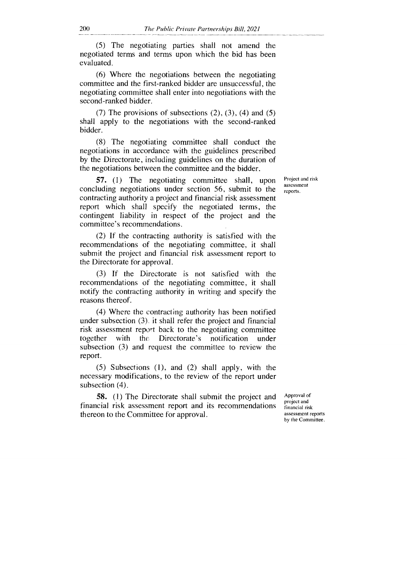(5) The negotiating parties shall not amend the negotiated terms and terms upon which the bid has been evaluated.

(6) Where the negotiations between the negotiating committee and the first-ranked bidder are unsuccessful, the negotiating committee shall enter into negotiations with the second-ranked bidder.

(7) The provisions of subsections  $(2)$ ,  $(3)$ ,  $(4)$  and  $(5)$ shall apply to the negotiations with the second-ranked bidder.

(8) The negotiating committee shall conduct the negotiations in accordance with the guidelines prescribed by the Directorate, including guidelines on the duration of the negotiations between the committee and the bidder.

57. (1) The negotiating committee shall, upon concluding negotiations under section 56, submit to the contracting authority a project and financial risk assessment report which shall specify the negotiated terms, the contingent liability in respect of the project and the committee's recommendations.

(2) If the contracting authority is satisfied with the recommendations of the negotiating committee, it shall submit the project and financial risk assessment report to the Directorate for approval.

(3) If the Directorate is not satisfied with the recommendations of the negotiating committee, it shall notify the contracting authority in writing and specify the reasons thereof.

(4) Where the contracting authority has been notified under subsection (3) it shall refer the project and financial risk assessment report back to the negotiating committee together with the Directorate's notification under subsection (3) and request the committee to review the report.

(5) Subsections (1), and (2) shall apply, with the necessary modifications, to the review of the report under subsection (4).

58. (1) The Directorate shall submit the project and financial risk assessment report and its recommendations thereon to the Committee for approval.

assessment reports.

Project and risk

Approval of project and financial risk assessment reports by the Committee.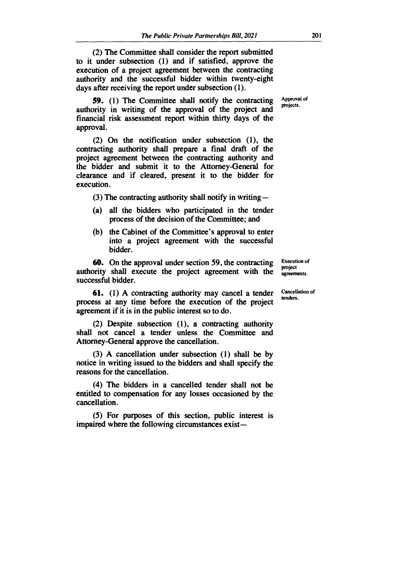**(2) The Committee shall consider the report submitted to it under subsection (1) and if satisfied, approve the execution of a project agreement between the contracting authority and the successful bidder within twenty-eight days after receiving the report under subsection (1).** 

**59. (1) The Committee shall notify the contracting authority in writing of the approval of the project and financial risk assessment report within thirty days of the approval.** 

**(2) On the notification under subsection (1), the contracting authority shall prepare a final draft of the project agreement between the contracting authority and the bidder and submit it to the Attorney-General for clearance and if cleared, present it to the bidder for execution.** 

**(3) The contracting authority shall notify in writing —** 

- **(a) all the bidders who participated in the tender process of the decision of the Committee; and**
- **(b) the Cabinet of the Committee's approval to enter into a project agreement with the successful bidder.**

**60. On the approval under section 59, the contracting authority shall execute the project agreement with the successful bidder.** 

**61. (1) A contracting authority may cancel a tender process at any time before the execution of the project agreement if it is in the public interest so to do.** 

**(2) Despite subsection (1), a contracting authority shall not cancel a tender unless the Committee and Attorney-General approve the cancellation.** 

**(3) A cancellation under subsection (1) shall be by notice in writing issued to the bidders and shall specify the reasons for the cancellation.** 

**(4) The bidders in a cancelled tender shall not be entitled to compensation for any losses occasioned by the cancellation.** 

**(5) For purposes of this section, public interest is impaired where the following circumstances exist—**  **Execution of project agreements.** 

**Cancellation of tenders.** 

**Approval of projects.**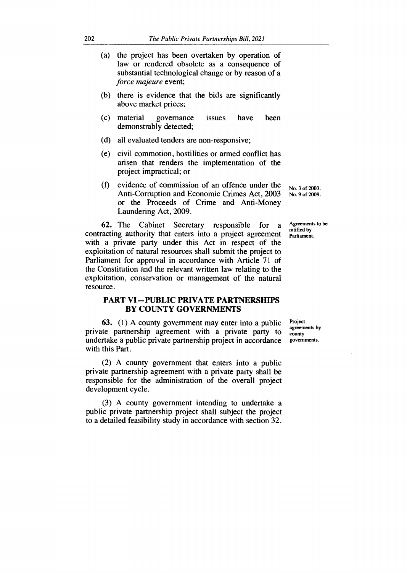- (a) the project has been overtaken by operation of law or rendered obsolete as a consequence of substantial technological change or by reason of a *force majeure* event;
- (b) there is evidence that the bids are significantly above market prices;
- (c) material governance issues have been demonstrably detected;
- (d) all evaluated tenders are non-responsive;
- (e) civil commotion, hostilities or armed conflict has arisen that renders the implementation of the project impractical; or
- (f) evidence of commission of an offence under the  $N_{0.3 \text{ of } 2003}$ . Anti-Corruption and Economic Crimes Act, 2003 No. 9 of 2009. or the Proceeds of Crime and Anti-Money Laundering Act, 2009.

contracting authority that enters into a project agreement 62. The Cabinet Secretary responsible for a Agreements to be with a private party under this Act in respect of the exploitation of natural resources shall submit the project to Parliament for approval in accordance with Article 71 of the Constitution and the relevant written law relating to the exploitation, conservation or management of the natural resource.

#### **PART VI—PUBLIC PRIVATE PARTNERSHIPS BY COUNTY GOVERNMENTS**

63. (1) A county government may enter into a public private partnership agreement with a private party to undertake a public private partnership project in accordance with this Part.

(2) A county government that enters into a public private partnership agreement with a private party shall be responsible for the administration of the overall project development cycle.

(3) A county government intending to undertake a public private partnership project shall subject the project to a detailed feasibility study in accordance with section 32.

ratified by Parliament.

**Project** agreements by county governments.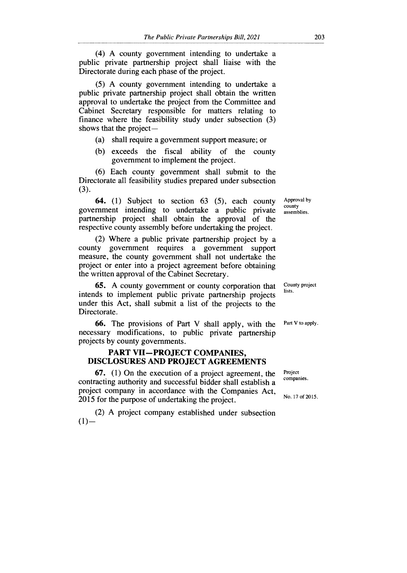(4) A county government intending to undertake a public private partnership project shall liaise with the Directorate during each phase of the project.

(5) A county government intending to undertake a public private partnership project shall obtain the written approval to undertake the project from the Committee and Cabinet Secretary responsible for matters relating to finance where the feasibility study under subsection (3) shows that the project —

- (a) shall require a government support measure; or
- (b) exceeds the fiscal ability of the county government to implement the project.

(6) Each county government shall submit to the Directorate all feasibility studies prepared under subsection (3).

64. (1) Subject to section 63 (5), each county government intending to undertake a public private partnership project shall obtain the approval of the respective county assembly before undertaking the project.

(2) Where a public private partnership project by a county government requires a government support measure, the county government shall not undertake the project or enter into a project agreement before obtaining the written approval of the Cabinet Secretary.

65. A county government or county corporation that intends to implement public private partnership projects under this Act, shall submit a list of the projects to the Directorate.

66. The provisions of Part V shall apply, with the necessary modifications, to public private partnership projects by county governments.

#### **PART VII—PROJECT COMPANIES, DISCLOSURES AND PROJECT AGREEMENTS**

67. (1) On the execution of a project agreement, the contracting authority and successful bidder shall establish a project company in accordance with the Companies Act, 2015 for the purpose of undertaking the project.

(2) A project company established under subsection  $(1)$ —

Approval by county assemblies.

County project lists.

Part V to apply.

Project companies.

No. 17 of 2015.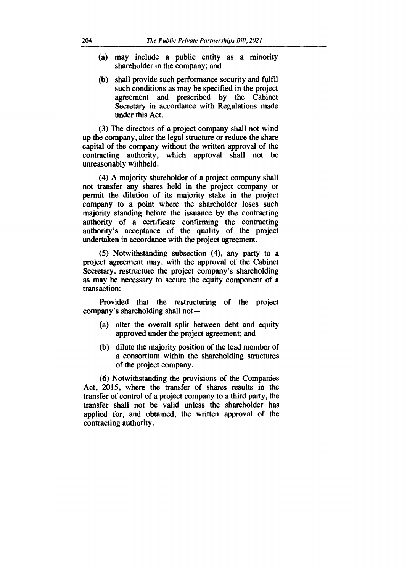- **(a) may include a public entity as a minority shareholder in the company; and**
- **(b) shall provide such performance security and fulfil such conditions as may be specified in the project agreement and prescribed by the Cabinet Secretary in accordance with Regulations made under this Act.**

**(3) The directors of a project company shall not wind up the company, alter the legal structure or reduce the share capital of the company without the written approval of the contracting authority, which approval shall not be unreasonably withheld.** 

**(4) A majority shareholder of a project company shall not transfer any shares held in the project company or permit the dilution of its majority stake in the project company to a point where the shareholder loses such majority standing before the issuance by the contracting authority of a certificate confirming the contracting authority's acceptance of the quality of the project undertaken in accordance with the project agreement.** 

**(5) Notwithstanding subsection (4), any party to a project agreement may, with the approval of the Cabinet Secretary, restructure the project company's shareholding as may be necessary to secure the equity component of a transaction:** 

**Provided that the restructuring of the project company's shareholding shall not —** 

- **(a) alter the overall split between debt and equity approved under the project agreement; and**
- **(b) dilute the majority position of the lead member of a consortium within the shareholding structures of the project company.**

**(6) Notwithstanding the provisions of the Companies Act, 2015, where the transfer of shares results in the transfer of control of a project company to a third party, the transfer shall not be valid unless the shareholder has applied for, and obtained, the written approval of the contracting authority.**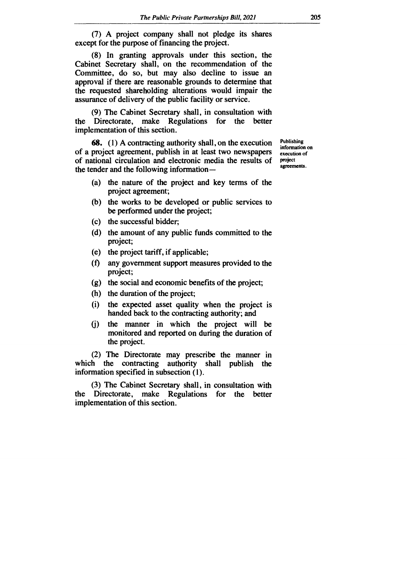**(7) A project company shall not pledge its shares except for the purpose of financing the project.** 

**(8) In granting approvals under this section, the Cabinet Secretary shall, on the recommendation of the Committee, do so, but may also decline to issue an approval if there are reasonable grounds to determine that the requested shareholding alterations would impair the assurance of delivery of the public facility or service.** 

**(9) The Cabinet Secretary shall, in consultation with the Directorate, make Regulations for the better implementation of this section.** 

**68. (1) A contracting authority shall, on the execution of a project agreement, publish in at least two newspapers of national circulation and electronic media the results of the tender and the following information —** 

- **(a) the nature of the project and key terms of the project agreement;**
- **(b) the works to be developed or public services to be performed under the project;**
- **(c) the successful bidder;**
- **(d) the amount of any public funds committed to the project;**
- **(e) the project tariff, if applicable;**
- (f) any government support measures provided to the **project;**
- **(g) the social and economic benefits of the project;**
- **(h) the duration of the project;**
- **(i) the expected asset quality when the project is handed back to the contracting authority; and**
- **(j) the manner in which the project will be monitored and reported on during the duration of the project.**

**(2) The Directorate may prescribe the manner in which the contracting authority shall publish the information specified in subsection (1).** 

**(3) The Cabinet Secretary shall, in consultation with the Directorate, make Regulations for the better implementation of this section.** 

**Publishing information on execution of project agreements.**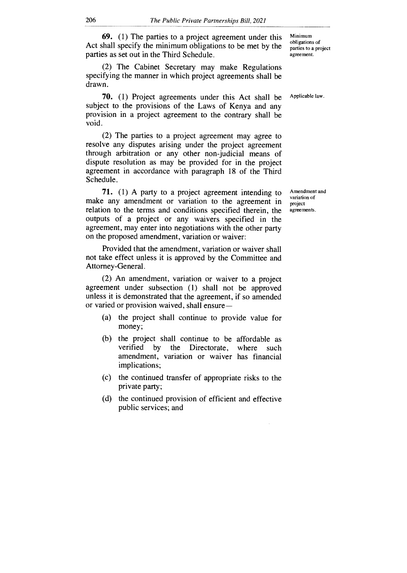69. (1) The parties to a project agreement under this Act shall specify the minimum obligations to be met by the parties as set out in the Third Schedule.

(2) The Cabinet Secretary may make Regulations specifying the manner in which project agreements shall be drawn.

70. (1) Project agreements under this Act shall be subject to the provisions of the Laws of Kenya and any provision in a project agreement to the contrary shall be void.

(2) The parties to a project agreement may agree to resolve any disputes arising under the project agreement through arbitration or any other non-judicial means of dispute resolution as may be provided for in the project agreement in accordance with paragraph 18 of the Third Schedule.

71. (1) A party to a project agreement intending to make any amendment or variation to the agreement in relation to the terms and conditions specified therein, the outputs of a project or any waivers specified in the agreement, may enter into negotiations with the other party on the proposed amendment, variation or waiver:

Provided that the amendment, variation or waiver shall not take effect unless it is approved by the Committee and Attorney-General.

(2) An amendment, variation or waiver to a project agreement under subsection (1) shall not be approved unless it is demonstrated that the agreement, if so amended or varied or provision waived, shall ensure —

- (a) the project shall continue to provide value for money;
- (b) the project shall continue to be affordable as verified by the Directorate, where such the Directorate, where such amendment, variation or waiver has financial implications;
- (c) the continued transfer of appropriate risks to the private party;
- (d) the continued provision of efficient and effective public services; and

Minimum obligations of parties to a project agreement.

Applicable law.

Amendment and variation of project agreements.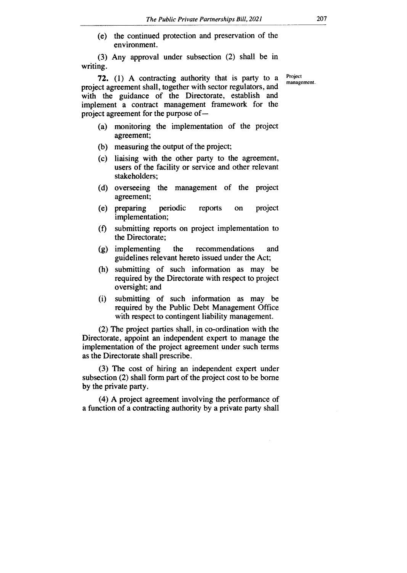(e) the continued protection and preservation of the environment.

(3) Any approval under subsection (2) shall be in writing.

**72.** (1) A contracting authority that is party to a project agreement shall, together with sector regulators, and with the guidance of the Directorate, establish and implement a contract management framework for the project agreement for the purpose of —

- (a) monitoring the implementation of the project agreement;
- (b) measuring the output of the project;
- (c) liaising with the other party to the agreement, users of the facility or service and other relevant stakeholders;
- (d) overseeing the management of the project agreement;
- (e) preparing periodic reports on project implementation;
- (f) submitting reports on project implementation to the Directorate;
- (g) implementing the recommendations and guidelines relevant hereto issued under the Act;
- (h) submitting of such information as may be required by the Directorate with respect to project oversight; and
- (i) submitting of such information as may be required by the Public Debt Management Office with respect to contingent liability management.

(2) The project parties shall, in co-ordination with the Directorate, appoint an independent expert to manage the implementation of the project agreement under such terms as the Directorate shall prescribe.

(3) The cost of hiring an independent expert under subsection (2) shall form part of the project cost to be borne by the private party.

(4) A project agreement involving the performance of a function of a contracting authority by a private party shall

Project management.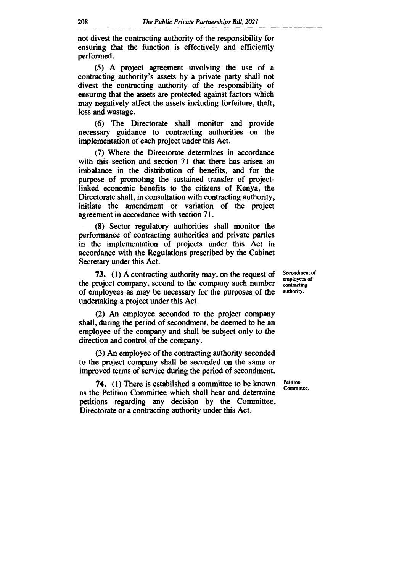**not divest the contracting authority of the responsibility for ensuring that the function is effectively and efficiently performed.** 

**(5) A project agreement involving the use of a contracting authority's assets by a private party shall not divest the contracting authority of the responsibility of ensuring that the assets are protected against factors which may negatively affect the assets including forfeiture, theft, loss and wastage.** 

**(6) The Directorate shall monitor and provide necessary guidance to contracting authorities on the implementation of each project under this Act.** 

**(7) Where the Directorate determines in accordance with this section and section 71 that there has arisen an imbalance in the distribution of benefits, and for the purpose of promoting the sustained transfer of projectlinked economic benefits to the citizens of Kenya, the Directorate shall, in consultation with contracting authority, initiate the amendment or variation of the project agreement in accordance with section 71.** 

**(8) Sector regulatory authorities shall monitor the performance of contracting authorities and private parties in the implementation of projects under this Act in accordance with the Regulations prescribed by the Cabinet Secretary under this Act.** 

**73. (1) A contracting authority may, on the request of the project company, second to the company such number of employees as may be necessary for the purposes of the undertaking a project under this Act.** 

**(2) An employee seconded to the project company shall, during the period of secondment, be deemed to be an employee of the company and shall be subject only to the direction and control of the company.** 

**(3) An employee of the contracting authority seconded to the project company shall be seconded on the same or improved terms of service during the period of secondment.** 

**74. (1) There is established a committee to be known as the Petition Committee which shall hear and determine petitions regarding any decision by the Committee, Directorate or a contracting authority under this Act.** 

**Secondment of employees of contracting authority.** 

**Petition Committee.**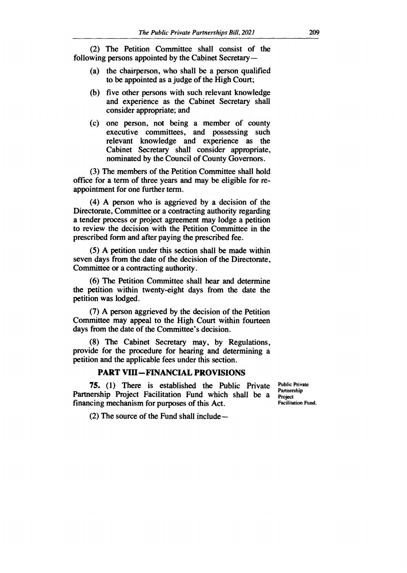(2) The Petition Committee shall consist of the following persons appointed by the Cabinet Secretary —

- (a) the chairperson, who shall be a person qualified to be appointed as a judge of the High Court;
- (b) five other persons with such relevant knowledge and experience as the Cabinet Secretary shall consider appropriate; and
- (c) one person, not being a member of county executive committees, and possessing such relevant knowledge and experience as the Cabinet Secretary shall consider appropriate, nominated by the Council of County Governors.

(3) The members of the Petition Committee shall hold office for a term of three years and may be eligible for reappointment for one further term.

(4) A person who is aggrieved by a decision of the Directorate, Committee or a contracting authority regarding a tender process or project agreement may lodge a petition to review the decision with the Petition Committee in the prescribed form and after paying the prescribed fee.

(5) A petition under this section shall be made within seven days from the date of the decision of the Directorate, Committee or a contracting authority.

(6) The Petition Committee shall hear and determine the petition within twenty-eight days from the date the petition was lodged.

(7) A person aggrieved by the decision of the Petition Committee may appeal to the High Court within fourteen days from the date of the Committee's decision.

(8) The Cabinet Secretary may, by Regulations, provide for the procedure for hearing and determining a petition and the applicable fees under this section.

## **PART VIII—FINANCIAL PROVISIONS**

**75.** (1) There is established the Public Private Partnership Project Facilitation Fund which shall be a financing mechanism for purposes of this Act.

Public Private Partnership **Project** Facilitation Fund.

(2) The source of the Fund shall include—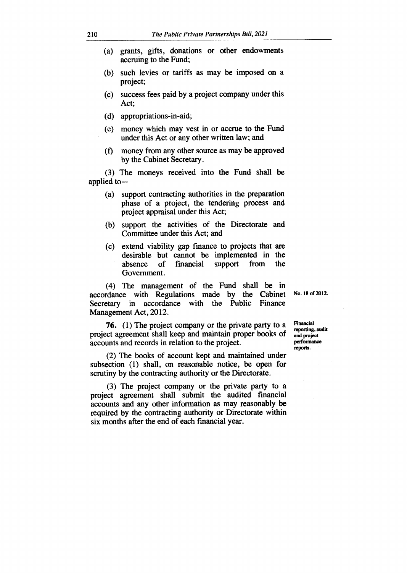- (a) grants, gifts, donations or other endowments accruing to the Fund;
- (b) such levies or tariffs as may be imposed on a project;
- (c) success fees paid by a project company under this Act;
- (d) appropriations-in-aid;
- (e) money which may vest in or accrue to the Fund under this Act or any other written law; and
- (1) money from any other source as may be approved by the Cabinet Secretary.

(3) The moneys received into the Fund shall be applied to —

- (a) support contracting authorities in the preparation phase of a project, the tendering process and project appraisal under this Act;
- (b) support the activities of the Directorate and Committee under this Act; and
- (c) extend viability gap finance to projects that are desirable but cannot be implemented in the absence of financial support from the Government.

(4) The management of the Fund shall be in accordance with Regulations made by the Cabinet Secretary in accordance with the Public Finance Management Act, 2012.

**76.** (1) The project company or the private party to a project agreement shall keep and maintain proper books of accounts and records in relation to the project.

(2) The books of account kept and maintained under subsection (1) shall, on reasonable notice, be open for scrutiny by the contracting authority or the Directorate.

(3) The project company or the private party to a project agreement shall submit the audited financial accounts and any other information as may reasonably be required by the contracting authority or Directorate within six months after the end of each financial year.

**No. 18 of 2012.** 

**Financial reporting, audit and project performance reports.**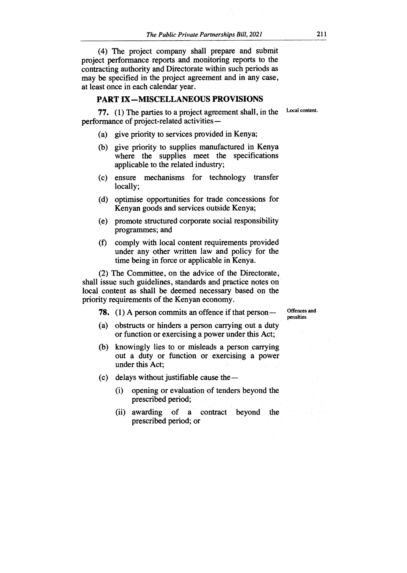(4) The project company shall prepare and submit project performance reports and monitoring reports to the contracting authority and Directorate within such periods as may be specified in the project agreement and in any case, at least once in each calendar year.

#### **PART IX—MISCELLANEOUS PROVISIONS**

**77. (1)** The parties to a project agreement shall, in the performance of project-related activities —

Local content.

- (a) give priority to services provided in Kenya;
- (b) give priority to supplies manufactured in Kenya where the supplies meet the specifications applicable to the related industry;
- (c) ensure mechanisms for technology transfer locally;
- (d) optimise opportunities for trade concessions for Kenyan goods and services outside Kenya;
- (e) promote structured corporate social responsibility programmes; and
- (f) comply with local content requirements provided under any other written law and policy for the time being in force or applicable in Kenya.

(2) The Committee, on the advice of the Directorate, shall issue such guidelines, standards and practice notes on local content as shall be deemed necessary based on the priority requirements of the Kenyan economy.

**78.** (1) A person commits an offence if that person

Offences and penalties

- (a) obstructs or hinders a person carrying out a duty or function or exercising a power under this Act;
- (b) knowingly lies to or misleads a person carrying out a duty or function or exercising a power under this Act;
- (c) delays without justifiable cause the
	- (i) opening or evaluation of tenders beyond the prescribed period;
	- (ii) awarding of a contract beyond the prescribed period; or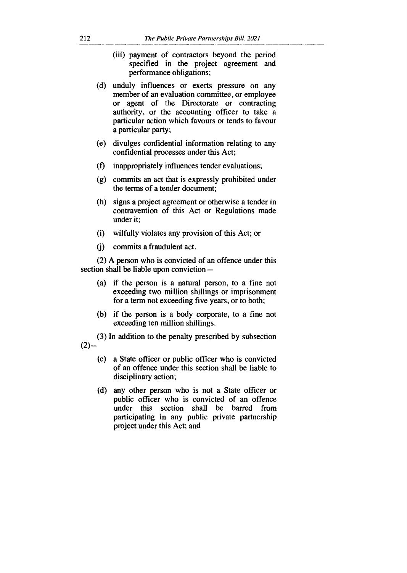- (iii) payment of contractors beyond the period specified in the project agreement and performance obligations;
- (d) unduly influences or exerts pressure on any member of an evaluation committee, or employee or agent of the Directorate or contracting authority, or the accounting officer to take a particular action which favours or tends to favour a particular party;
- (e) divulges confidential information relating to any confidential processes under this Act;
- (f) inappropriately influences tender evaluations;
- (g) commits an act that is expressly prohibited under the terms of a tender document;
- (h) signs a project agreement or otherwise a tender in contravention of this Act or Regulations made under it;
- (i) wilfully violates any provision of this Act; or
- (j) commits a fraudulent act.

(2) A person who is convicted of an offence under this section shall be liable upon conviction —

- (a) if the person is a natural person, to a fine not exceeding two million shillings or imprisonment for a term not exceeding five years, or to both;
- (b) if the person is a body corporate, to a fine not exceeding ten million shillings.

(3) In addition to the penalty prescribed by subsection  $(2)$ —

- (c) a State officer or public officer who is convicted of an offence under this section shall be liable to disciplinary action;
- (d) any other person who is not a State officer or public officer who is convicted of an offence under this section shall be barred from participating in any public private partnership project under this Act; and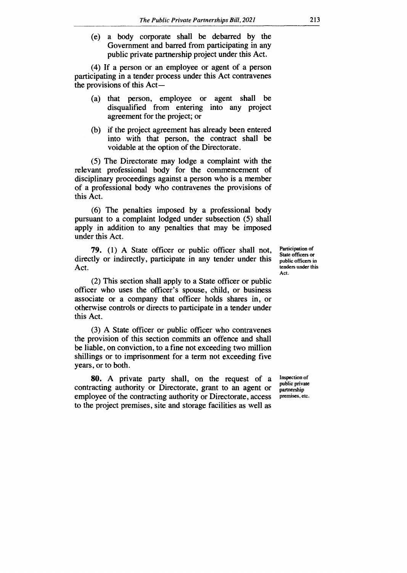(e) a body corporate shall be debarred by the Government and barred from participating in any public private partnership project under this Act.

(4) If a person or an employee or agent of a person participating in a tender process under this Act contravenes the provisions of this Act —

- (a) that person, employee or agent shall be disqualified from entering into any project agreement for the project; or
- (b) if the project agreement has already been entered into with that person, the contract shall be voidable at the option of the Directorate.

(5) The Directorate may lodge a complaint with the relevant professional body for the commencement of disciplinary proceedings against a person who is a member of a professional body who contravenes the provisions of this Act.

(6) The penalties imposed by a professional body pursuant to a complaint lodged under subsection (5) shall apply in addition to any penalties that may be imposed under this Act.

**79.** (1) A State officer or public officer shall not, directly or indirectly, participate in any tender under this Act.

Participation of State officers or public officers in tenders under this Act.

(2) This section shall apply to a State officer or public officer who uses the officer's spouse, child, or business associate or a company that officer holds shares in, or otherwise controls or directs to participate in a tender under this Act.

(3) A State officer or public officer who contravenes the provision of this section commits an offence and shall be liable, on conviction, to a fine not exceeding two million shillings or to imprisonment for a term not exceeding five years, or to both.

**80.** A private party shall, on the request of a contracting authority or Directorate, grant to an agent or employee of the contracting authority or Directorate, access to the project premises, site and storage facilities as well as

Inspection of public private partnership premises, etc.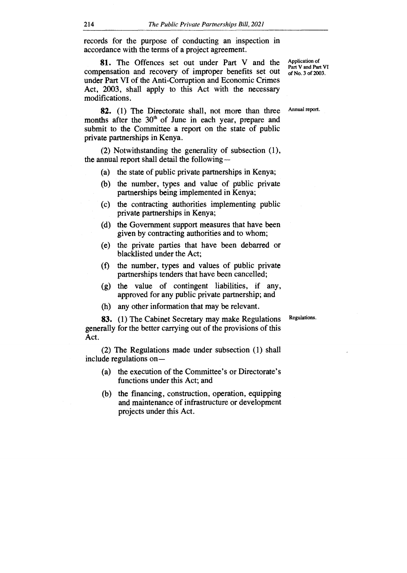records for the purpose of conducting an inspection in accordance with the terms of a project agreement.

**81.** The Offences set out under Part V and the compensation and recovery of improper benefits set out under Part VI of the Anti-Corruption and Economic Crimes Act, 2003, shall apply to this Act with the necessary modifications.

**82.** (1) The Directorate shall, not more than three months after the  $30<sup>th</sup>$  of June in each year, prepare and submit to the Committee a report on the state of public private partnerships in Kenya.

(2) Notwithstanding the generality of subsection (1), the annual report shall detail the following —

- (a) the state of public private partnerships in Kenya;
- (b) the number, types and value of public private partnerships being implemented in Kenya;
- (c) the contracting authorities implementing public private partnerships in Kenya;
- (d) the Government support measures that have been given by contracting authorities and to whom;
- (e) the private parties that have been debarred or blacklisted under the Act;
- (f) the number, types and values of public private partnerships tenders that have been cancelled;
- (g) the value of contingent liabilities, if any, approved for any public private partnership; and
- (h) any other information that may be relevant.

Regulations.

**83.** (1) The Cabinet Secretary may make Regulations generally for the better carrying out of the provisions of this Act.

(2) The Regulations made under subsection (1) shall include regulations on—

- (a) the execution of the Committee's or Directorate's functions under this Act; and
- (b) the financing, construction, operation, equipping and maintenance of infrastructure or development projects under this Act.

Application of Part V and Part VI of No. 3 of 2003.

Annual report.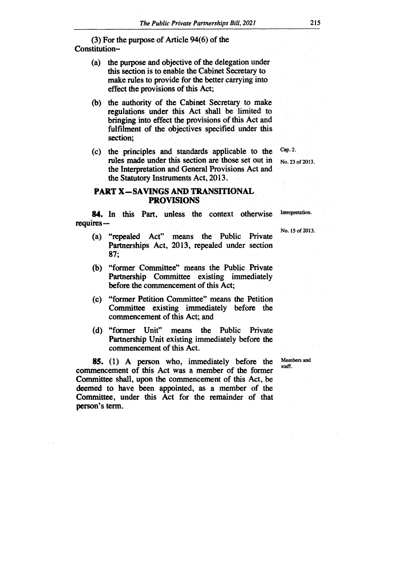**(3) For the purpose of Article 94(6) of the Constitution—** 

- **(a) the purpose and objective of the delegation under this section is to enable the Cabinet Secretary to make rules to provide for the better carrying into effect the provisions of this Act;**
- **(b) the authority of the Cabinet Secretary to make regulations under this Act, shall be limited to bringing into effect the provisions of this Act and fulfilment of the objectives specified under this section;**
- **(c) the principles and standards applicable to the rules made under this section are those set out in the Interpretation and General Provisions Act and the Statutory Instruments Act, 2013.**

## **PART X-SAVINGS AND TRANSITIONAL PROVISIONS**

**84. In this Part, unless the context otherwise requires —** 

- **(a) "repealed Act" means the Public Private Partnerships Act, 2013, repealed under section 87;**
- **"former Committee" means the Public Private (b) Partnership Committee existing immediately before the commencement of this Act;**
- **(c) "former Petition Committee" means the Petition Committee existing immediately before the commencement of this Act; and**
- **(d) "former Unit" means the Public Private Partnership Unit existing immediately before the commencement of this Act.**

**85. (1) A person who, immediately before the commencement of this Act was a member of the former Committee shall, upon the commencement of this Act, be deemed to have been appointed, as a member of the Committee, under this Act for the remainder of that person's term.** 

**Members and staff.** 

Interpretation.

**No. 23 of 2013.** 

**Cap. 2.** 

## **No. 15 of 2013.**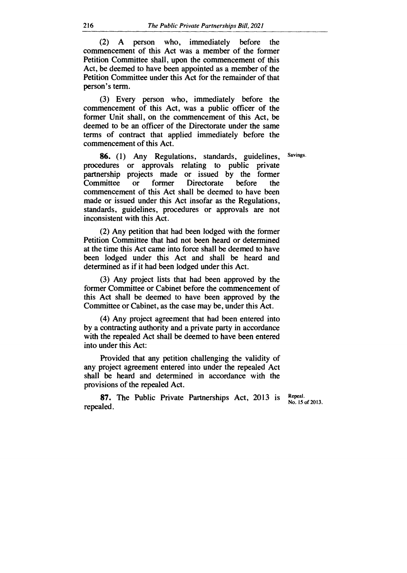(2) A person who, immediately before the commencement of this Act was a member of the former Petition Committee shall, upon the commencement of this Act, be deemed to have been appointed as a member of the Petition Committee under this Act for the remainder of that person's term.

(3) Every person who, immediately before the commencement of this Act, was a public officer of the former Unit shall, on the commencement of this Act, be deemed to be an officer of the Directorate under the same terms of contract that applied immediately before the commencement of this Act.

Savings.

**86.** (1) Any Regulations, standards, guidelines, procedures or approvals relating to public private partnership projects made or issued by the former<br>Committee or former Directorate before the or former Directorate before the commencement of this Act shall be deemed to have been made or issued under this Act insofar as the Regulations, standards, guidelines, procedures or approvals are not inconsistent with this Act.

(2) Any petition that had been lodged with the former Petition Committee that had not been heard or determined at the time this Act came into force shall be deemed to have been lodged under this Act and shall be heard and determined as if it had been lodged under this Act.

(3) Any project lists that had been approved by the former Committee or Cabinet before the commencement of this Act shall be deemed to have been approved by the Committee or Cabinet, as the case may be, under this Act.

(4) Any project agreement that had been entered into by a contracting authority and a private party in accordance with the repealed Act shall be deemed to have been entered into under this Act:

Provided that any petition challenging the validity of any project agreement entered into under the repealed Act shall be heard and determined in accordance with the provisions of the repealed Act.

**87.** The Public Private Partnerships Act, 2013 is repealed.

Repeal. No. 15 of 2013.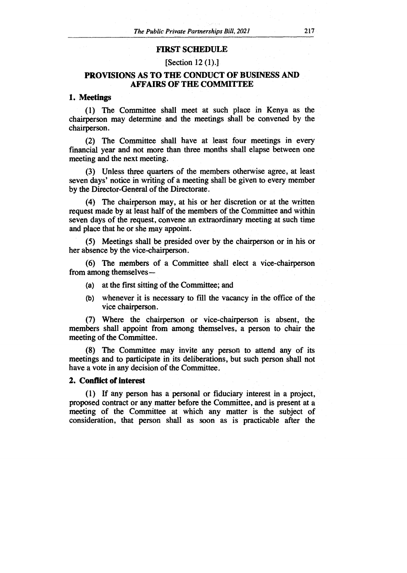#### **FIRST SCHEDULE**

[Section 12 (1).]

## **PROVISIONS AS TO THE CONDUCT OF BUSINESS AND AFFAIRS OF THE COMMITTEE**

#### **1. Meetings**

(1) The Committee shall meet at such place in Kenya as the chairperson may determine and the meetings shall be convened by the chairperson.

(2) The Committee shall have at least four meetings in every financial year and not more than three months shall elapse between one meeting and the next meeting.

(3) Unless three quarters of the members otherwise agree, at least seven days' notice in writing of a meeting shall be given to every member by the Director-General of the Directorate.

**(4)** The chairperson may, at his or her discretion or at the written request made by at least half of the members of the Committee and within seven days of the request, convene an extraordinary meeting at such time and place that he or she may appoint.

(5) Meetings shall be presided over by the chairperson or in his or her absence by the vice-chairperson.

(6) The members of a Committee shall elect a vice-chairperson from among themselves-

- (a) at the first sitting of the Committee; and
- (b) whenever it is necessary to fill the vacancy in the office of the vice chairperson.

(7) Where the chairperson or vice-chairperson is absent, the members shall appoint from among themselves, a person to chair the meeting of the Committee.

(8) The Committee may invite any person to attend any of its meetings and to participate in its deliberations, but such person shall not have a vote in any decision of the Committee.

#### **2. Conflict of interest**

(1) If any person has a personal or fiduciary interest in a project, proposed contract or any matter before the Committee, and is present at a meeting of the Committee at which any matter is the subject of consideration, that person shall as soon as is practicable after the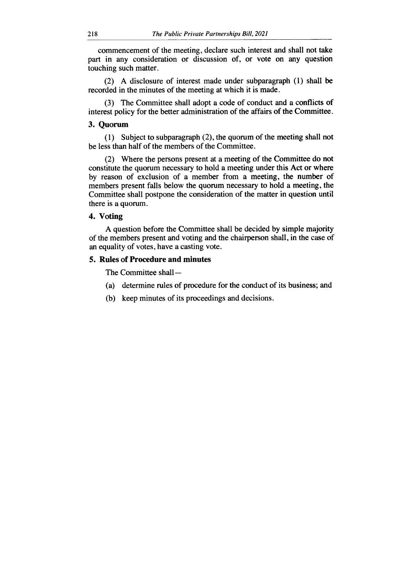commencement of the meeting, declare such interest and shall not take part in any consideration or discussion of, or vote on any question touching such matter.

(2) A disclosure of interest made under subparagraph (1) shall be recorded in the minutes of the meeting at which it is made.

(3) The Committee shall adopt a code of conduct and a conflicts of interest policy for the better administration of the affairs of the Committee.

#### **3. Quorum**

(1) Subject to subparagraph (2), the quorum of the meeting shall not be less than half of the members of the Committee.

(2) Where the persons present at a meeting of the Committee do not constitute the quorum necessary to hold a meeting under this Act or where by reason of exclusion of a member from a meeting, the number of members present falls below the quorum necessary to hold a meeting, the Committee shall postpone the consideration of the matter in question until there is a quorum.

#### **4. Voting**

A question before the Committee shall be decided by simple majority of the members present and voting and the chairperson shall, in the case of an equality of votes, have a casting vote.

#### **5. Rules of Procedure and minutes**

The Committee shall —

- (a) determine rules of procedure for the conduct of its business; and
- (b) keep minutes of its proceedings and decisions.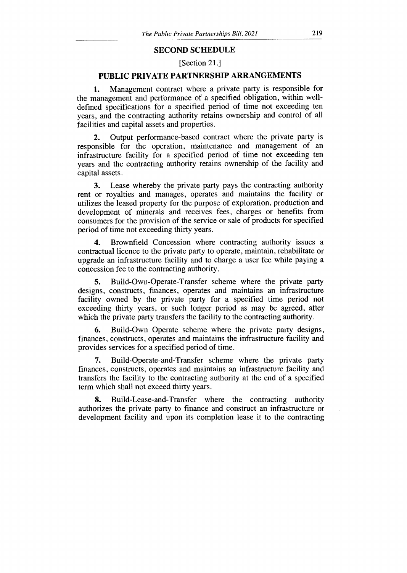#### **SECOND SCHEDULE**

## [Section 21.]

## **PUBLIC PRIVATE PARTNERSHIP ARRANGEMENTS**

1. Management contract where a private party is responsible for the management and performance of a specified obligation, within welldefined specifications for a specified period of time not exceeding ten years, and the contracting authority retains ownership and control of all facilities and capital assets and properties.

2. Output performance-based contract where the private party is responsible for the operation, maintenance and management of an infrastructure facility for a specified period of time not exceeding ten years and the contracting authority retains ownership of the facility and capital assets.

3. Lease whereby the private party pays the contracting authority rent or royalties and manages, operates and maintains the facility or utilizes the leased property for the purpose of exploration, production and development of minerals and receives fees, charges or benefits from consumers for the provision of the service or sale of products for specified period of time not exceeding thirty years.

4. Brownfield Concession where contracting authority issues a contractual licence to the private party to operate, maintain, rehabilitate or upgrade an infrastructure facility and to charge a user fee while paying a concession fee to the contracting authority.

5. Build-Own-Operate-Transfer scheme where the private party designs, constructs, finances, operates and maintains an infrastructure facility owned by the private party for a specified time period not exceeding thirty years, or such longer period as may be agreed, after which the private party transfers the facility to the contracting **authority.** 

6. Build-Own Operate scheme where the private party designs, finances, constructs, operates and maintains the infrastructure facility and provides services for a specified period of time.

7. Build-Operate-and-Transfer scheme where the private party finances, constructs, operates and maintains an infrastructure facility and transfers the facility to the contracting authority at the end of a specified term which shall not exceed thirty years.

8. Build-Lease-and-Transfer where the contracting authority authorizes the private party to finance and construct an infrastructure or development facility and upon its completion lease it to the contracting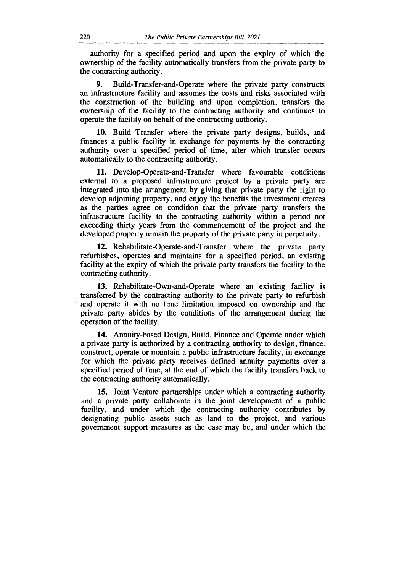authority for a specified period and upon the expiry of which the ownership of the facility automatically transfers from the private party to the contracting authority.

9. Build-Transfer-and-Operate where the private party constructs an infrastructure facility and assumes the costs and risks associated with the construction of the building and upon completion, transfers the ownership of the facility to the contracting authority and continues to operate the facility on behalf of the contracting authority.

10. Build Transfer where the private party designs, builds, and finances a public facility in exchange for payments by the contracting authority over a specified period of time, after which transfer occurs automatically to the contracting authority.

11. Develop-Operate-and-Transfer where favourable conditions external to a proposed infrastructure project by a private party are integrated into the arrangement by giving that private party the right to develop adjoining property, and enjoy the benefits the investment creates as the parties agree on condition that the private party transfers the infrastructure facility to the contracting authority within a period not exceeding thirty years from the commencement of the project and the developed property remain the property of the private party in perpetuity.

12. Rehabilitate-Operate-and-Transfer where the private party refurbishes, operates and maintains for a specified period, an existing facility at the expiry of which the private party transfers the facility to the contracting authority.

13. Rehabilitate-Own-and-Operate where an existing facility is transferred by the contracting authority to the private party to refurbish and operate it with no time limitation imposed on ownership and the private party abides by the conditions of the arrangement during the operation of the facility.

14. Annuity-based Design, Build, Finance and Operate under which a private party is authorized by a contracting authority to design, finance, construct, operate or maintain a public infrastructure facility, in exchange for which the private party receives defined annuity payments over a specified period of time, at the end of which the facility transfers back to the contracting authority automatically.

15. Joint Venture partnerships under which a contracting authority and a private party collaborate in the joint development of a public facility, and under which the contracting authority contributes by designating public assets such as land to the project, and various government support measures as the case may be, and under which the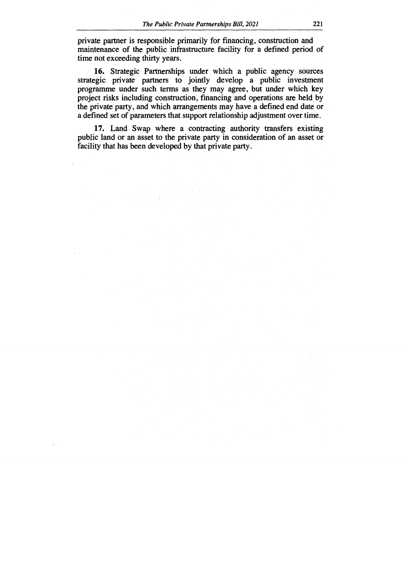private partner is responsible primarily for financing, construction and maintenance of the public infrastructure facility for a defined period of time not exceeding thirty years.

16. Strategic Partnerships under which a public agency sources strategic private partners to jointly develop a public investment programme under such terms as they may agree, but under which key project risks including construction, financing and operations are held by the private party, and which arrangements may have a defined end date or a defined set of parameters that support relationship adjustment over time.

17. Land Swap where a contracting authority transfers existing public land or an asset to the private party in consideration of an asset or facility that has been developed by that private party.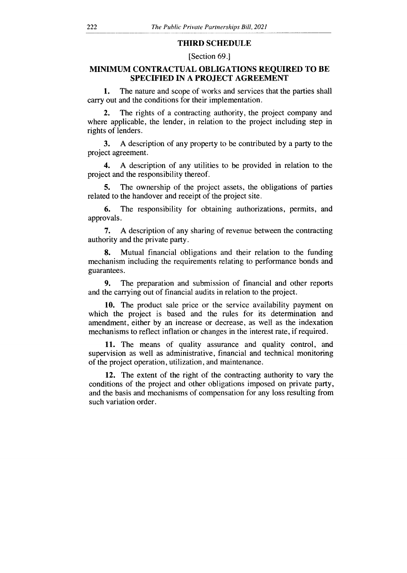#### **THIRD SCHEDULE**

#### [Section 69.]

## **MINIMUM CONTRACTUAL OBLIGATIONS REQUIRED TO BE SPECIFIED IN A PROJECT AGREEMENT**

1. The nature and scope of works and services that the parties shall carry out and the conditions for their implementation.

The rights of a contracting authority, the project company and where applicable, the lender, in relation to the project including step in rights of lenders.

3. A description of any property to be contributed by a party to the project agreement.

4. A description of any utilities to be provided in relation to the project and the responsibility thereof.

5. The ownership of the project assets, the obligations of parties related to the handover and receipt of the project site.

6. The responsibility for obtaining authorizations, permits, and approvals.

7. A description of any sharing of revenue between the contracting authority and the private party.

8. Mutual financial obligations and their relation to the funding mechanism including the requirements relating to performance bonds and guarantees.

9. The preparation and submission of financial and other reports and the carrying out of financial audits in relation to the project.

10. The product sale price or the service availability payment on which the project is based and the rules for its determination and amendment, either by an increase or decrease, as well as the indexation mechanisms to reflect inflation or changes in the interest rate, if required.

11. The means of quality assurance and quality control, and supervision as well as administrative, financial and technical monitoring of the project operation, utilization, and maintenance.

12. The extent of the right of the contracting authority to vary the conditions of the project and other obligations imposed on private party, and the basis and mechanisms of compensation for any loss resulting from such variation order.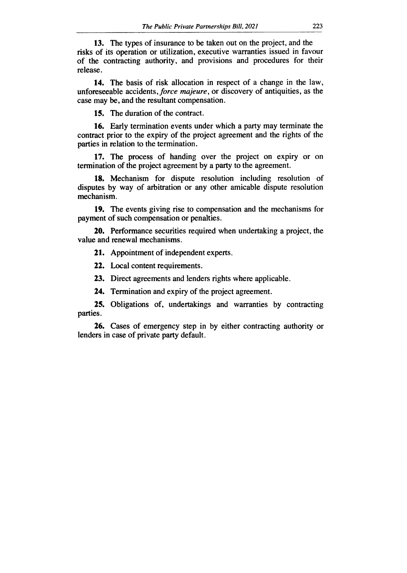13. The types of insurance to be taken out on the project, and the risks of its operation or utilization, executive warranties issued in favour of the contracting authority, and provisions and procedures for their release.

14. The basis of risk allocation in respect of a change in the law, unforeseeable accidents, *force majeure,* or discovery of antiquities, as the case may be, and the resultant compensation.

15. The duration of the contract.

16. Early termination events under which a party may terminate the contract prior to the expiry of the project agreement and the rights of the parties in relation to the termination.

17. The process of handing over the project on expiry or on termination of the project agreement by a party to the agreement.

18. Mechanism for dispute resolution including resolution of disputes by way of arbitration or any other amicable dispute resolution mechanism.

19. The events giving rise to compensation and the mechanisms for payment of such compensation or penalties.

20. Performance securities required when undertaking a project, the value and renewal mechanisms.

21. Appointment of independent experts.

22. Local content requirements.

23. Direct agreements and lenders rights where applicable.

24. Termination and expiry of the project agreement.

25. Obligations of, undertakings and warranties by contracting parties.

26. Cases of emergency step in by either contracting authority or lenders in case of private party default.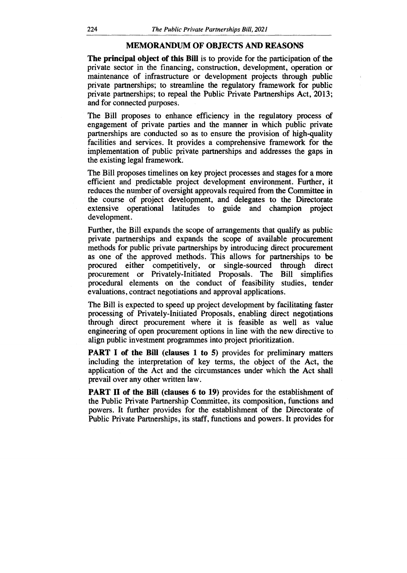#### **MEMORANDUM OF OBJECTS AND REASONS**

**The principal object of this Bill** is to provide for the participation of the private sector in the financing, construction, development, operation or maintenance of infrastructure or development projects through public private partnerships; to streamline the regulatory framework for public private partnerships; to repeal the Public Private Partnerships Act, 2013; and for connected purposes.

The Bill proposes to enhance efficiency in the regulatory process of engagement of private parties and the manner in which public private partnerships are conducted so as to ensure the provision of high-quality facilities and services. It provides a comprehensive framework for the implementation of public private partnerships and addresses the gaps in the existing legal framework.

The Bill proposes timelines on key project processes and stages for a more efficient and predictable project development environment. Further, it reduces the number of oversight approvals required from the Committee in the course of project development, and delegates to the Directorate extensive operational latitudes to guide and champion project development.

Further, the Bill expands the scope of arrangements that qualify as public private partnerships and expands the scope of available procurement methods for public private partnerships by introducing direct procurement as one of the approved methods. This allows for partnerships to be procured either competitively, or single-sourced through direct procurement or Privately-Initiated Proposals. The Bill simplifies procedural elements on the conduct of feasibility studies, tender evaluations, contract negotiations and approval applications.

The Bill is expected to speed up project development by facilitating faster processing of Privately-Initiated Proposals, enabling direct negotiations through direct procurement where it is feasible as well as value engineering of open procurement options in line with the new directive to align public investment programmes into project prioritization.

**PART I of the Bill (clauses 1 to 5) provides for preliminary matters** including the interpretation of key terms, the object of the Act, the application of the Act and the circumstances under which the Act shall prevail over any other written law.

**PART II of the Bill (clauses 6 to 19)** provides for the establishment of the Public Private Partnership Committee, its composition, functions and powers. It further provides for the establishment of the Directorate of Public Private Partnerships, its staff, functions and powers. It provides for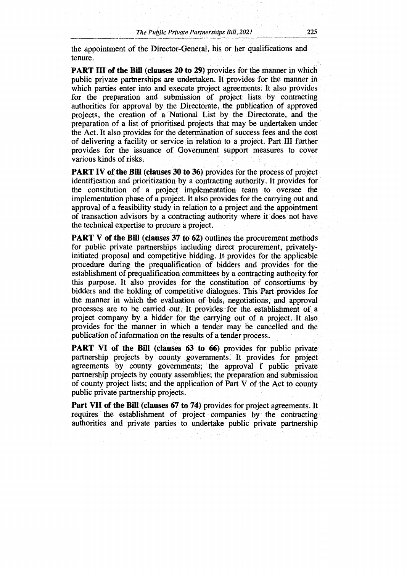the appointment of the Director-General, his or her qualifications and tenure.

**PART III of the Bill (clauses 20 to 29)** provides for the manner in which public private partnerships are undertaken. It provides for the manner in which parties enter into and execute project agreements. It also provides for the preparation and submission of project lists by contracting authorities for approval by the Directorate, the publication of approved projects, the creation of a National List by the Directorate, and the preparation of a list of prioritised projects that may be undertaken under the Act. It also provides for the determination of success fees and the cost of delivering a facility or service in relation to a project. Part **III** further provides for the issuance of Government support measures to cover various kinds of risks.

**PART IV of the Bill (clauses 30 to 36)** provides for the process of project identification and prioritization by a contracting authority. It provides for the constitution of a project implementation team to oversee the implementation phase of a project. It also provides for the carrying out and approval of a feasibility study in relation to a project and the appointment of transaction advisors by a contracting authority where it does not have the technical expertise to procure a project.

**PART V of the Bill (clauses 37 to 62)** outlines the procurement methods for public private partnerships including direct procurement, privately initiated proposal and competitive bidding. It provides for the applicable procedure during the prequalification of bidders and provides for the establishment of prequalification committees by a contracting authority for this purpose. It also provides for the constitution of consortiums by bidders and the holding of competitive dialogues. This Part provides for the manner in which the evaluation of bids, negotiations, and approval processes are to be carried out. It provides for the establishment of a project company by a bidder for the carrying out of a project. It also provides for the manner in which a tender may be cancelled and the publication of information on the results of a tender process.

**PART VI of the Bill (clauses 63 to 66)** provides for public private partnership projects by county governments. It provides for project agreements by county governments; the approval f public private partnership projects by county assemblies; the preparation and submission of county project lists; and the application of Part V of the Act to county public private partnership projects.

**Part VII of the Bill (clauses 67 to 74)** provides for project agreements. It requires the establishment of project companies by the contracting authorities and private parties to undertake public private partnership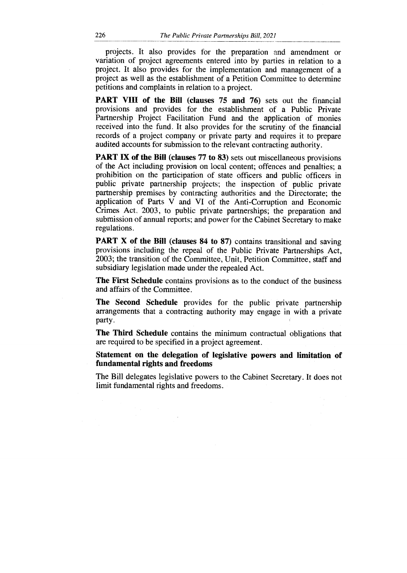projects. It also provides for the preparation and amendment or variation of project agreements entered into by parties in relation to a project. It also provides for the implementation and management of a project as well as the establishment of a Petition Committee to determine petitions and complaints in relation to a project.

**PART VIII of the Bill (clauses 75 and 76)** sets out the financial provisions and provides for the establishment of a Public Private Partnership Project Facilitation Fund and the application of monies received into the fund. It also provides for the scrutiny of the financial records of a project company or private party and requires it to prepare audited accounts for submission to the relevant contracting authority.

**PART IX of the Bill (clauses 77 to 83)** sets out miscellaneous provisions of the Act including provision on local content; offences and penalties; a prohibition on the participation of state officers and public officers in public private partnership projects; the inspection of public private partnership premises by contracting authorities and the Directorate; the application of Parts V and VI of the Anti-Corruption and Economic Crimes Act, 2003, to public private partnerships; the preparation and submission of annual reports; and power for the Cabinet Secretary to make regulations.

PART X of the Bill (clauses 84 to 87) contains transitional and saving provisions including the repeal of the Public Private Partnerships Act, 2003; the transition of the Committee, Unit, Petition Committee, staff and subsidiary legislation made under the repealed Act.

**The First Schedule** contains provisions as to the conduct of the business and affairs of the Committee.

**The Second Schedule** provides for the public private partnership arrangements that a contracting authority may engage in with a private party.

**The Third Schedule** contains the minimum contractual obligations that are required to be specified in a project agreement.

**Statement on the delegation of legislative powers and limitation of fundamental rights and freedoms** 

The Bill delegates legislative powers to the Cabinet Secretary. It does not limit fundamental rights and freedoms.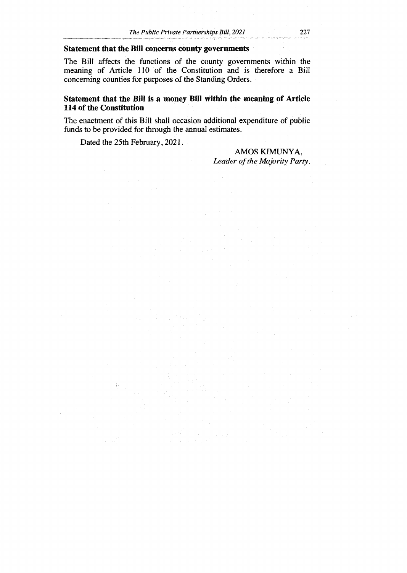#### **Statement that the Bill concerns county governments**

The Bill affects the functions of the county governments within the meaning of Article 110 of the Constitution and is therefore a Bill concerning counties for purposes of the Standing Orders.

## **Statement that the Bill is a money Bill within the meaning of Article 114 of the Constitution**

The enactment of this Bill shall occasion additional expenditure of public funds to be provided for through the annual estimates.

Dated the 25th February, 2021.

 $\langle \cdot \rangle$ 

#### AMOS KIMUNYA, *Leader of the Majority Party.*